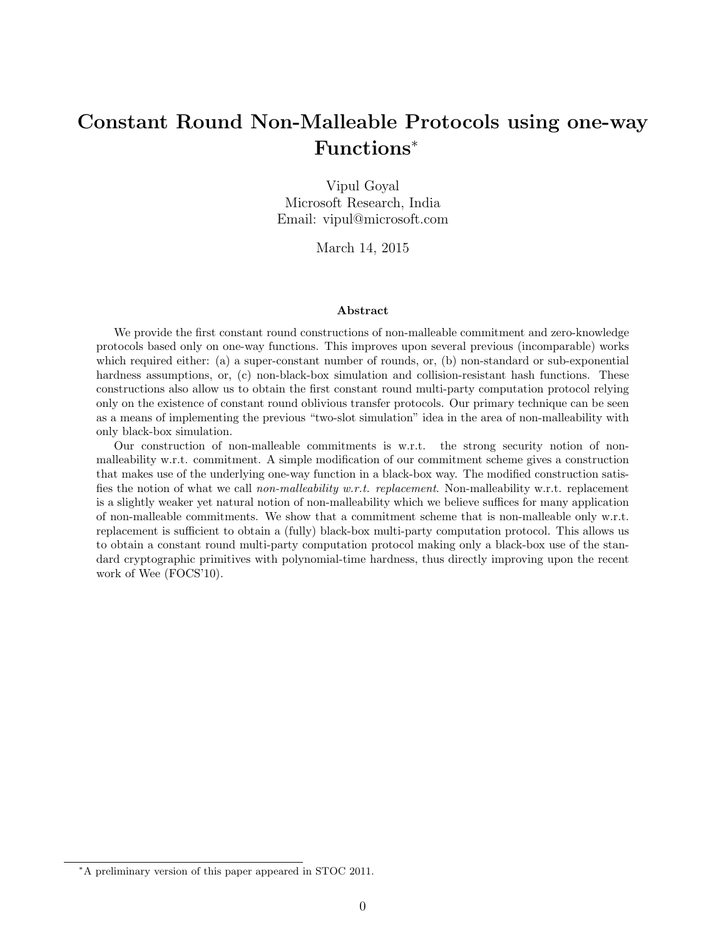# Constant Round Non-Malleable Protocols using one-way Functions<sup>∗</sup>

Vipul Goyal Microsoft Research, India Email: vipul@microsoft.com

March 14, 2015

#### Abstract

We provide the first constant round constructions of non-malleable commitment and zero-knowledge protocols based only on one-way functions. This improves upon several previous (incomparable) works which required either: (a) a super-constant number of rounds, or, (b) non-standard or sub-exponential hardness assumptions, or, (c) non-black-box simulation and collision-resistant hash functions. These constructions also allow us to obtain the first constant round multi-party computation protocol relying only on the existence of constant round oblivious transfer protocols. Our primary technique can be seen as a means of implementing the previous "two-slot simulation" idea in the area of non-malleability with only black-box simulation.

Our construction of non-malleable commitments is w.r.t. the strong security notion of nonmalleability w.r.t. commitment. A simple modification of our commitment scheme gives a construction that makes use of the underlying one-way function in a black-box way. The modified construction satisfies the notion of what we call non-malleability w.r.t. replacement. Non-malleability w.r.t. replacement is a slightly weaker yet natural notion of non-malleability which we believe suffices for many application of non-malleable commitments. We show that a commitment scheme that is non-malleable only w.r.t. replacement is sufficient to obtain a (fully) black-box multi-party computation protocol. This allows us to obtain a constant round multi-party computation protocol making only a black-box use of the standard cryptographic primitives with polynomial-time hardness, thus directly improving upon the recent work of Wee (FOCS'10).

<sup>∗</sup>A preliminary version of this paper appeared in STOC 2011.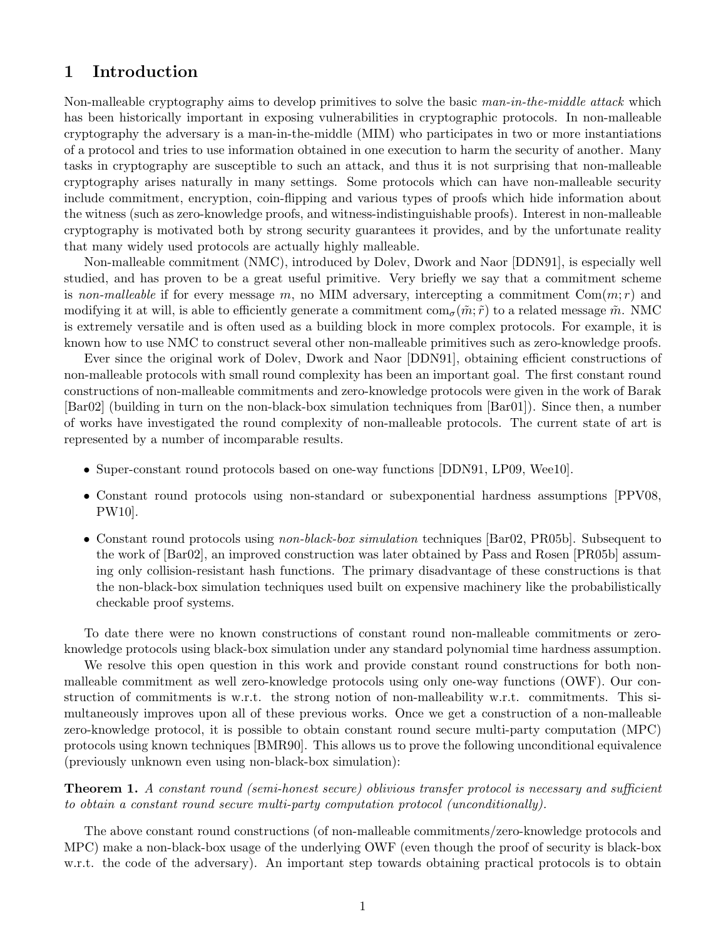# 1 Introduction

Non-malleable cryptography aims to develop primitives to solve the basic man-in-the-middle attack which has been historically important in exposing vulnerabilities in cryptographic protocols. In non-malleable cryptography the adversary is a man-in-the-middle (MIM) who participates in two or more instantiations of a protocol and tries to use information obtained in one execution to harm the security of another. Many tasks in cryptography are susceptible to such an attack, and thus it is not surprising that non-malleable cryptography arises naturally in many settings. Some protocols which can have non-malleable security include commitment, encryption, coin-flipping and various types of proofs which hide information about the witness (such as zero-knowledge proofs, and witness-indistinguishable proofs). Interest in non-malleable cryptography is motivated both by strong security guarantees it provides, and by the unfortunate reality that many widely used protocols are actually highly malleable.

Non-malleable commitment (NMC), introduced by Dolev, Dwork and Naor [DDN91], is especially well studied, and has proven to be a great useful primitive. Very briefly we say that a commitment scheme is non-malleable if for every message m, no MIM adversary, intercepting a commitment  $\text{Com}(m; r)$  and modifying it at will, is able to efficiently generate a commitment  $\text{com}_{\sigma}(\tilde{m}; \tilde{r})$  to a related message  $\tilde{m}$ . NMC is extremely versatile and is often used as a building block in more complex protocols. For example, it is known how to use NMC to construct several other non-malleable primitives such as zero-knowledge proofs.

Ever since the original work of Dolev, Dwork and Naor [DDN91], obtaining efficient constructions of non-malleable protocols with small round complexity has been an important goal. The first constant round constructions of non-malleable commitments and zero-knowledge protocols were given in the work of Barak [Bar02] (building in turn on the non-black-box simulation techniques from [Bar01]). Since then, a number of works have investigated the round complexity of non-malleable protocols. The current state of art is represented by a number of incomparable results.

- Super-constant round protocols based on one-way functions [DDN91, LP09, Wee10].
- Constant round protocols using non-standard or subexponential hardness assumptions [PPV08, PW10].
- Constant round protocols using non-black-box simulation techniques [Bar02, PR05b]. Subsequent to the work of [Bar02], an improved construction was later obtained by Pass and Rosen [PR05b] assuming only collision-resistant hash functions. The primary disadvantage of these constructions is that the non-black-box simulation techniques used built on expensive machinery like the probabilistically checkable proof systems.

To date there were no known constructions of constant round non-malleable commitments or zeroknowledge protocols using black-box simulation under any standard polynomial time hardness assumption.

We resolve this open question in this work and provide constant round constructions for both nonmalleable commitment as well zero-knowledge protocols using only one-way functions (OWF). Our construction of commitments is w.r.t. the strong notion of non-malleability w.r.t. commitments. This simultaneously improves upon all of these previous works. Once we get a construction of a non-malleable zero-knowledge protocol, it is possible to obtain constant round secure multi-party computation (MPC) protocols using known techniques [BMR90]. This allows us to prove the following unconditional equivalence (previously unknown even using non-black-box simulation):

Theorem 1. A constant round (semi-honest secure) oblivious transfer protocol is necessary and sufficient to obtain a constant round secure multi-party computation protocol (unconditionally).

The above constant round constructions (of non-malleable commitments/zero-knowledge protocols and MPC) make a non-black-box usage of the underlying OWF (even though the proof of security is black-box w.r.t. the code of the adversary). An important step towards obtaining practical protocols is to obtain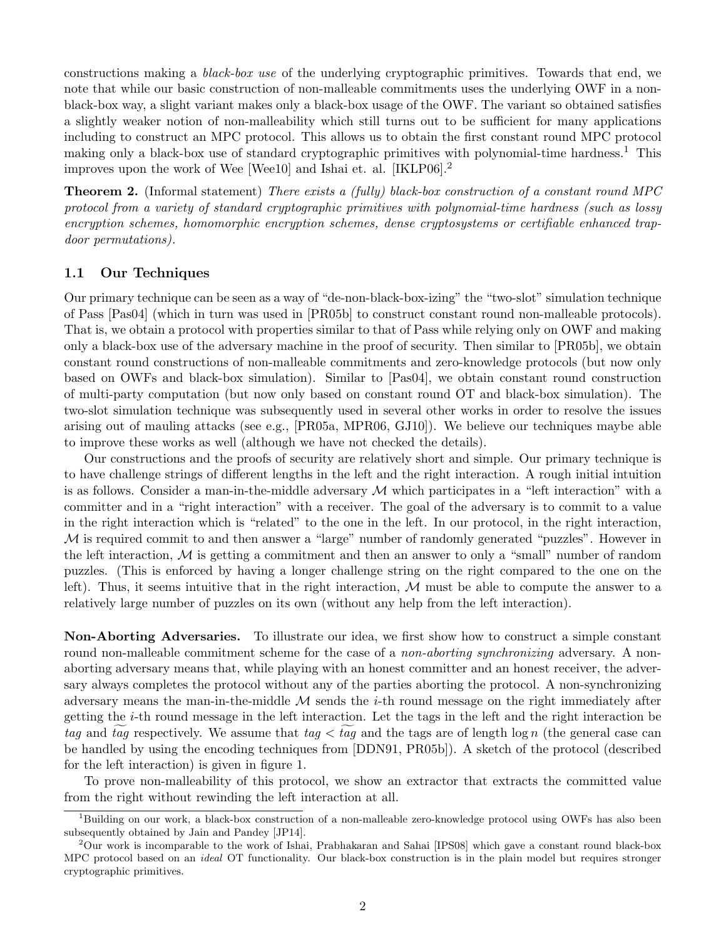constructions making a black-box use of the underlying cryptographic primitives. Towards that end, we note that while our basic construction of non-malleable commitments uses the underlying OWF in a nonblack-box way, a slight variant makes only a black-box usage of the OWF. The variant so obtained satisfies a slightly weaker notion of non-malleability which still turns out to be sufficient for many applications including to construct an MPC protocol. This allows us to obtain the first constant round MPC protocol making only a black-box use of standard cryptographic primitives with polynomial-time hardness.<sup>1</sup> This improves upon the work of Wee [Wee10] and Ishai et. al. [IKLP06].<sup>2</sup>

Theorem 2. (Informal statement) There exists a (fully) black-box construction of a constant round MPC protocol from a variety of standard cryptographic primitives with polynomial-time hardness (such as lossy encryption schemes, homomorphic encryption schemes, dense cryptosystems or certifiable enhanced trapdoor permutations).

### 1.1 Our Techniques

Our primary technique can be seen as a way of "de-non-black-box-izing" the "two-slot" simulation technique of Pass [Pas04] (which in turn was used in [PR05b] to construct constant round non-malleable protocols). That is, we obtain a protocol with properties similar to that of Pass while relying only on OWF and making only a black-box use of the adversary machine in the proof of security. Then similar to [PR05b], we obtain constant round constructions of non-malleable commitments and zero-knowledge protocols (but now only based on OWFs and black-box simulation). Similar to [Pas04], we obtain constant round construction of multi-party computation (but now only based on constant round OT and black-box simulation). The two-slot simulation technique was subsequently used in several other works in order to resolve the issues arising out of mauling attacks (see e.g., [PR05a, MPR06, GJ10]). We believe our techniques maybe able to improve these works as well (although we have not checked the details).

Our constructions and the proofs of security are relatively short and simple. Our primary technique is to have challenge strings of different lengths in the left and the right interaction. A rough initial intuition is as follows. Consider a man-in-the-middle adversary  $\mathcal M$  which participates in a "left interaction" with a committer and in a "right interaction" with a receiver. The goal of the adversary is to commit to a value in the right interaction which is "related" to the one in the left. In our protocol, in the right interaction, M is required commit to and then answer a "large" number of randomly generated "puzzles". However in the left interaction,  $M$  is getting a commitment and then an answer to only a "small" number of random puzzles. (This is enforced by having a longer challenge string on the right compared to the one on the left). Thus, it seems intuitive that in the right interaction,  $M$  must be able to compute the answer to a relatively large number of puzzles on its own (without any help from the left interaction).

Non-Aborting Adversaries. To illustrate our idea, we first show how to construct a simple constant round non-malleable commitment scheme for the case of a *non-aborting synchronizing* adversary. A nonaborting adversary means that, while playing with an honest committer and an honest receiver, the adversary always completes the protocol without any of the parties aborting the protocol. A non-synchronizing adversary means the man-in-the-middle  $\mathcal M$  sends the *i*-th round message on the right immediately after getting the i-th round message in the left interaction. Let the tags in the left and the right interaction be tag and tag respectively. We assume that tag  $\lt$  tag and the tags are of length log n (the general case can be handled by using the encoding techniques from [DDN91, PR05b]). A sketch of the protocol (described for the left interaction) is given in figure 1.

To prove non-malleability of this protocol, we show an extractor that extracts the committed value from the right without rewinding the left interaction at all.

<sup>&</sup>lt;sup>1</sup>Building on our work, a black-box construction of a non-malleable zero-knowledge protocol using OWFs has also been subsequently obtained by Jain and Pandey [JP14].

<sup>2</sup>Our work is incomparable to the work of Ishai, Prabhakaran and Sahai [IPS08] which gave a constant round black-box MPC protocol based on an *ideal* OT functionality. Our black-box construction is in the plain model but requires stronger cryptographic primitives.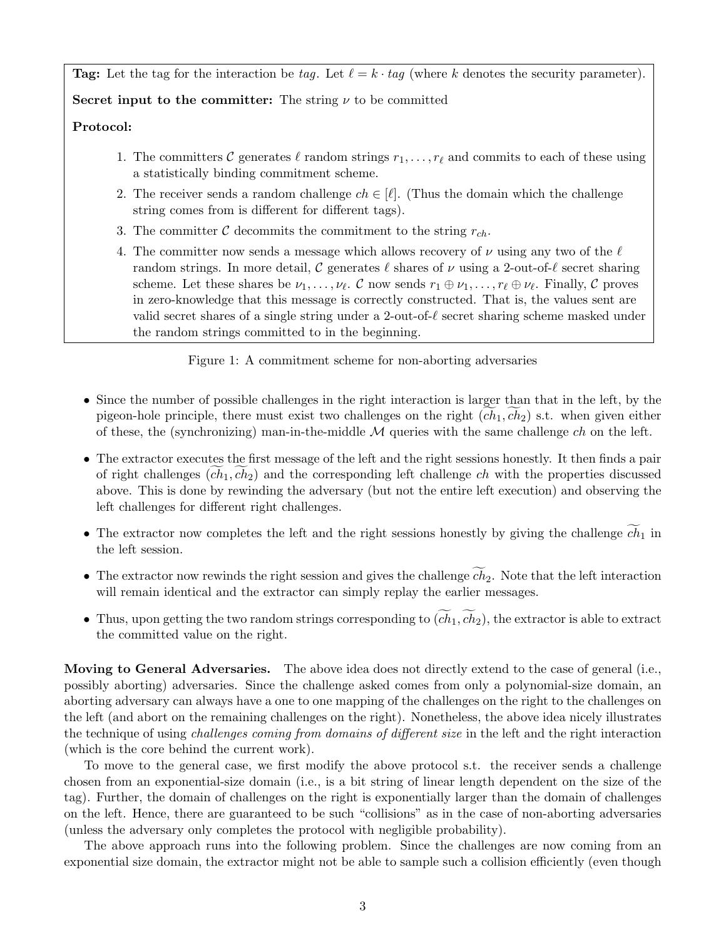**Tag:** Let the tag for the interaction be tag. Let  $\ell = k \cdot taq$  (where k denotes the security parameter).

Secret input to the committer: The string  $\nu$  to be committed

#### Protocol:

- 1. The committers C generates  $\ell$  random strings  $r_1, \ldots, r_\ell$  and commits to each of these using a statistically binding commitment scheme.
- 2. The receiver sends a random challenge  $ch \in [\ell]$ . (Thus the domain which the challenge string comes from is different for different tags).
- 3. The committer C decommits the commitment to the string  $r_{ch}$ .
- 4. The committer now sends a message which allows recovery of  $\nu$  using any two of the  $\ell$ random strings. In more detail, C generates  $\ell$  shares of  $\nu$  using a 2-out-of- $\ell$  secret sharing scheme. Let these shares be  $\nu_1, \ldots, \nu_\ell$ . C now sends  $r_1 \oplus \nu_1, \ldots, r_\ell \oplus \nu_\ell$ . Finally, C proves in zero-knowledge that this message is correctly constructed. That is, the values sent are valid secret shares of a single string under a 2-out-of- $\ell$  secret sharing scheme masked under the random strings committed to in the beginning.

Figure 1: A commitment scheme for non-aborting adversaries

- Since the number of possible challenges in the right interaction is larger than that in the left, by the pigeon-hole principle, there must exist two challenges on the right  $(ch_1, ch_2)$  s.t. when given either of these, the (synchronizing) man-in-the-middle  $\mathcal M$  queries with the same challenge ch on the left.
- The extractor executes the first message of the left and the right sessions honestly. It then finds a pair of right challenges  $(ch_1, ch_2)$  and the corresponding left challenge ch with the properties discussed above. This is done by rewinding the adversary (but not the entire left execution) and observing the left challenges for different right challenges.
- The extractor now completes the left and the right sessions honestly by giving the challenge  $\widetilde{ch}_1$  in the left session.
- The extractor now rewinds the right session and gives the challenge  $c\bar{h}_2$ . Note that the left interaction will remain identical and the extractor can simply replay the earlier messages.
- Thus, upon getting the two random strings corresponding to  $(\widetilde{ch}_1, \widetilde{ch}_2)$ , the extractor is able to extract the committed value on the right.

Moving to General Adversaries. The above idea does not directly extend to the case of general (i.e., possibly aborting) adversaries. Since the challenge asked comes from only a polynomial-size domain, an aborting adversary can always have a one to one mapping of the challenges on the right to the challenges on the left (and abort on the remaining challenges on the right). Nonetheless, the above idea nicely illustrates the technique of using challenges coming from domains of different size in the left and the right interaction (which is the core behind the current work).

To move to the general case, we first modify the above protocol s.t. the receiver sends a challenge chosen from an exponential-size domain (i.e., is a bit string of linear length dependent on the size of the tag). Further, the domain of challenges on the right is exponentially larger than the domain of challenges on the left. Hence, there are guaranteed to be such "collisions" as in the case of non-aborting adversaries (unless the adversary only completes the protocol with negligible probability).

The above approach runs into the following problem. Since the challenges are now coming from an exponential size domain, the extractor might not be able to sample such a collision efficiently (even though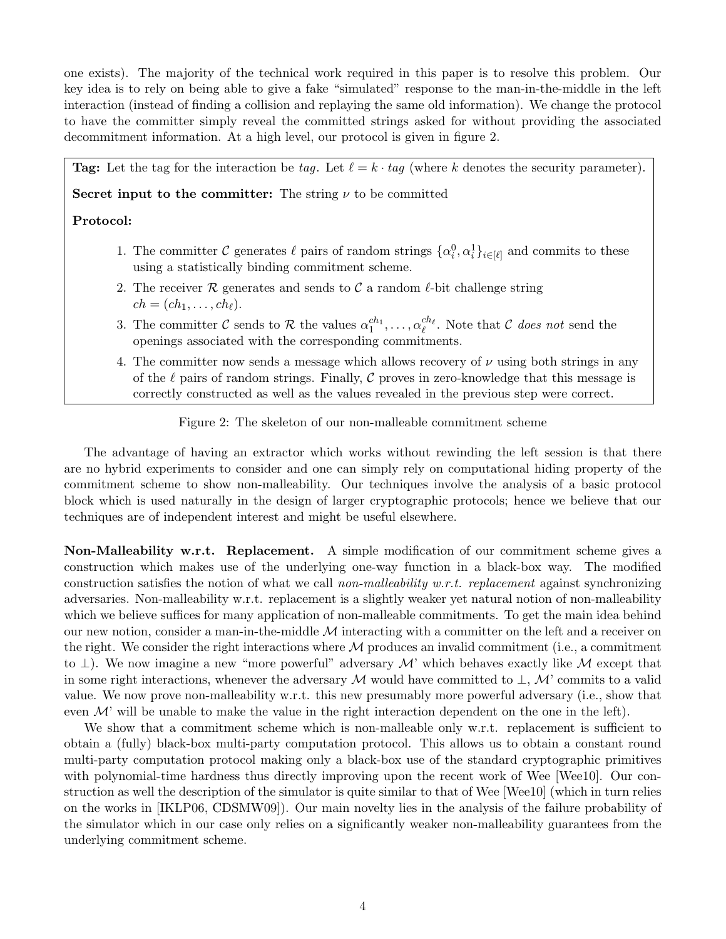one exists). The majority of the technical work required in this paper is to resolve this problem. Our key idea is to rely on being able to give a fake "simulated" response to the man-in-the-middle in the left interaction (instead of finding a collision and replaying the same old information). We change the protocol to have the committer simply reveal the committed strings asked for without providing the associated decommitment information. At a high level, our protocol is given in figure 2.

**Tag:** Let the tag for the interaction be tag. Let  $\ell = k \cdot tag$  (where k denotes the security parameter).

Secret input to the committer: The string  $\nu$  to be committed

### Protocol:

- 1. The committer C generates  $\ell$  pairs of random strings  $\{\alpha_i^0, \alpha_i^1\}_{i \in [\ell]}$  and commits to these using a statistically binding commitment scheme.
- 2. The receiver R generates and sends to C a random  $\ell$ -bit challenge string  $ch = (ch_1, \ldots, ch_\ell).$
- 3. The committer C sends to R the values  $\alpha_1^{ch_1}, \ldots, \alpha_\ell^{ch_\ell}$ . Note that C does not send the openings associated with the corresponding commitments.
- 4. The committer now sends a message which allows recovery of  $\nu$  using both strings in any of the  $\ell$  pairs of random strings. Finally, C proves in zero-knowledge that this message is correctly constructed as well as the values revealed in the previous step were correct.

Figure 2: The skeleton of our non-malleable commitment scheme

The advantage of having an extractor which works without rewinding the left session is that there are no hybrid experiments to consider and one can simply rely on computational hiding property of the commitment scheme to show non-malleability. Our techniques involve the analysis of a basic protocol block which is used naturally in the design of larger cryptographic protocols; hence we believe that our techniques are of independent interest and might be useful elsewhere.

Non-Malleability w.r.t. Replacement. A simple modification of our commitment scheme gives a construction which makes use of the underlying one-way function in a black-box way. The modified construction satisfies the notion of what we call non-malleability w.r.t. replacement against synchronizing adversaries. Non-malleability w.r.t. replacement is a slightly weaker yet natural notion of non-malleability which we believe suffices for many application of non-malleable commitments. To get the main idea behind our new notion, consider a man-in-the-middle  $\mathcal M$  interacting with a committer on the left and a receiver on the right. We consider the right interactions where  $\mathcal M$  produces an invalid commitment (i.e., a commitment to  $\perp$ ). We now imagine a new "more powerful" adversary M' which behaves exactly like M except that in some right interactions, whenever the adversary M would have committed to  $\perp$ , M' commits to a valid value. We now prove non-malleability w.r.t. this new presumably more powerful adversary (i.e., show that even  $\mathcal{M}'$  will be unable to make the value in the right interaction dependent on the one in the left).

We show that a commitment scheme which is non-malleable only w.r.t. replacement is sufficient to obtain a (fully) black-box multi-party computation protocol. This allows us to obtain a constant round multi-party computation protocol making only a black-box use of the standard cryptographic primitives with polynomial-time hardness thus directly improving upon the recent work of Wee [Wee10]. Our construction as well the description of the simulator is quite similar to that of Wee [Wee10] (which in turn relies on the works in [IKLP06, CDSMW09]). Our main novelty lies in the analysis of the failure probability of the simulator which in our case only relies on a significantly weaker non-malleability guarantees from the underlying commitment scheme.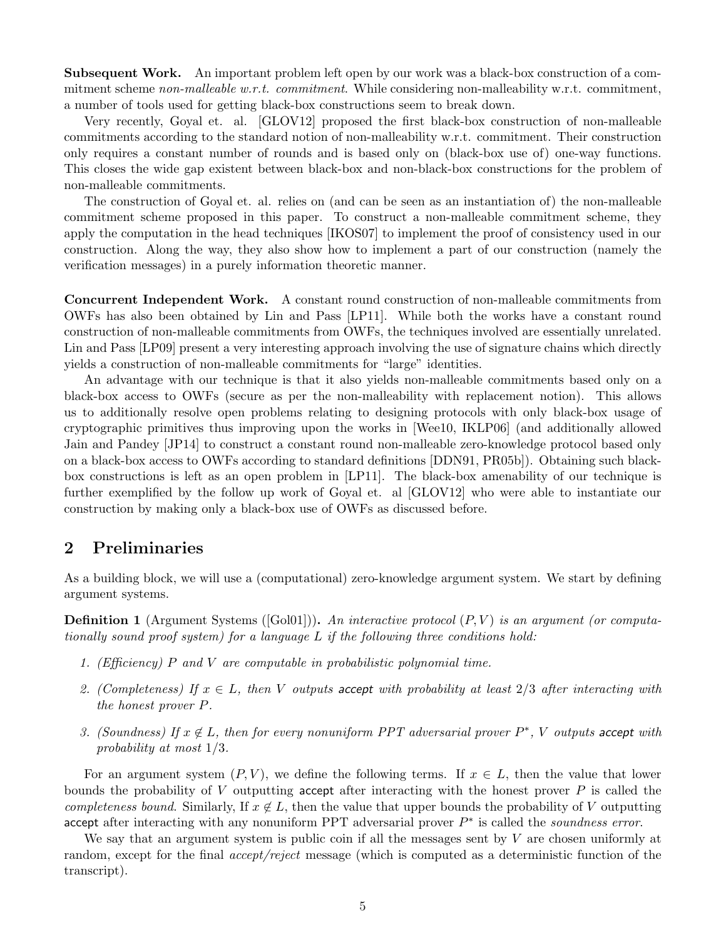Subsequent Work. An important problem left open by our work was a black-box construction of a commitment scheme non-malleable w.r.t. commitment. While considering non-malleability w.r.t. commitment, a number of tools used for getting black-box constructions seem to break down.

Very recently, Goyal et. al. [GLOV12] proposed the first black-box construction of non-malleable commitments according to the standard notion of non-malleability w.r.t. commitment. Their construction only requires a constant number of rounds and is based only on (black-box use of) one-way functions. This closes the wide gap existent between black-box and non-black-box constructions for the problem of non-malleable commitments.

The construction of Goyal et. al. relies on (and can be seen as an instantiation of) the non-malleable commitment scheme proposed in this paper. To construct a non-malleable commitment scheme, they apply the computation in the head techniques [IKOS07] to implement the proof of consistency used in our construction. Along the way, they also show how to implement a part of our construction (namely the verification messages) in a purely information theoretic manner.

Concurrent Independent Work. A constant round construction of non-malleable commitments from OWFs has also been obtained by Lin and Pass [LP11]. While both the works have a constant round construction of non-malleable commitments from OWFs, the techniques involved are essentially unrelated. Lin and Pass [LP09] present a very interesting approach involving the use of signature chains which directly yields a construction of non-malleable commitments for "large" identities.

An advantage with our technique is that it also yields non-malleable commitments based only on a black-box access to OWFs (secure as per the non-malleability with replacement notion). This allows us to additionally resolve open problems relating to designing protocols with only black-box usage of cryptographic primitives thus improving upon the works in [Wee10, IKLP06] (and additionally allowed Jain and Pandey [JP14] to construct a constant round non-malleable zero-knowledge protocol based only on a black-box access to OWFs according to standard definitions [DDN91, PR05b]). Obtaining such blackbox constructions is left as an open problem in [LP11]. The black-box amenability of our technique is further exemplified by the follow up work of Goyal et. al [GLOV12] who were able to instantiate our construction by making only a black-box use of OWFs as discussed before.

# 2 Preliminaries

As a building block, we will use a (computational) zero-knowledge argument system. We start by defining argument systems.

**Definition 1** (Argument Systems ( $[Gol01]$ )). An interactive protocol  $(P, V)$  is an argument (or computationally sound proof system) for a language L if the following three conditions hold:

- 1. (Efficiency)  $P$  and  $V$  are computable in probabilistic polynomial time.
- 2. (Completeness) If  $x \in L$ , then V outputs accept with probability at least  $2/3$  after interacting with the honest prover P.
- 3. (Soundness) If  $x \notin L$ , then for every nonuniform PPT adversarial prover  $P^*$ , V outputs accept with probability at most 1/3.

For an argument system  $(P, V)$ , we define the following terms. If  $x \in L$ , then the value that lower bounds the probability of V outputting accept after interacting with the honest prover  $P$  is called the completeness bound. Similarly, If  $x \notin L$ , then the value that upper bounds the probability of V outputting accept after interacting with any nonuniform PPT adversarial prover  $P^*$  is called the *soundness error*.

We say that an argument system is public coin if all the messages sent by  $V$  are chosen uniformly at random, except for the final *accept/reject* message (which is computed as a deterministic function of the transcript).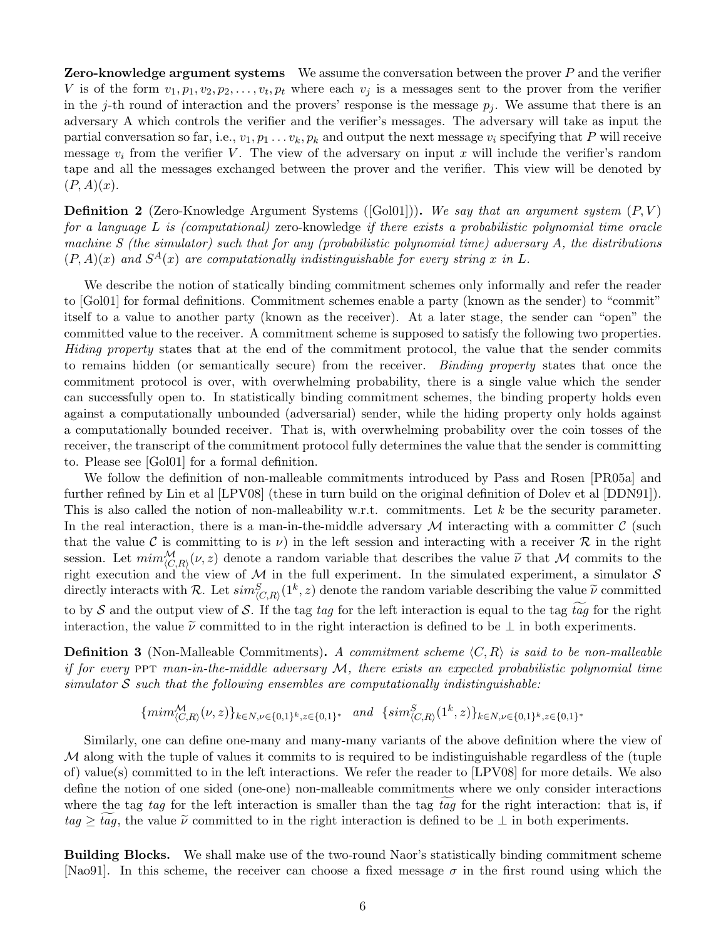**Zero-knowledge argument systems** We assume the conversation between the prover  $P$  and the verifier V is of the form  $v_1, p_1, v_2, p_2, \ldots, v_t, p_t$  where each  $v_j$  is a messages sent to the prover from the verifier in the j-th round of interaction and the provers' response is the message  $p_i$ . We assume that there is an adversary A which controls the verifier and the verifier's messages. The adversary will take as input the partial conversation so far, i.e.,  $v_1, p_1 \ldots v_k, p_k$  and output the next message  $v_i$  specifying that P will receive message  $v_i$  from the verifier V. The view of the adversary on input x will include the verifier's random tape and all the messages exchanged between the prover and the verifier. This view will be denoted by  $(P, A)(x)$ .

**Definition 2** (Zero-Knowledge Argument Systems ( $[Gol01]$ )). We say that an argument system  $(P, V)$ for a language L is (computational) zero-knowledge if there exists a probabilistic polynomial time oracle machine S (the simulator) such that for any (probabilistic polynomial time) adversary A, the distributions  $(P, A)(x)$  and  $S^{A}(x)$  are computationally indistinguishable for every string x in L.

We describe the notion of statically binding commitment schemes only informally and refer the reader to [Gol01] for formal definitions. Commitment schemes enable a party (known as the sender) to "commit" itself to a value to another party (known as the receiver). At a later stage, the sender can "open" the committed value to the receiver. A commitment scheme is supposed to satisfy the following two properties. Hiding property states that at the end of the commitment protocol, the value that the sender commits to remains hidden (or semantically secure) from the receiver. Binding property states that once the commitment protocol is over, with overwhelming probability, there is a single value which the sender can successfully open to. In statistically binding commitment schemes, the binding property holds even against a computationally unbounded (adversarial) sender, while the hiding property only holds against a computationally bounded receiver. That is, with overwhelming probability over the coin tosses of the receiver, the transcript of the commitment protocol fully determines the value that the sender is committing to. Please see [Gol01] for a formal definition.

We follow the definition of non-malleable commitments introduced by Pass and Rosen [PR05a] and further refined by Lin et al [LPV08] (these in turn build on the original definition of Dolev et al [DDN91]). This is also called the notion of non-malleability w.r.t. commitments. Let  $k$  be the security parameter. In the real interaction, there is a man-in-the-middle adversary  $\cal M$  interacting with a committer  $\cal C$  (such that the value C is committing to is  $\nu$ ) in the left session and interacting with a receiver R in the right session. Let  $\min_{(C,R)}^{\mathcal{M}}(\nu, z)$  denote a random variable that describes the value  $\tilde{\nu}$  that M commits to the view of  $\mathcal{M}$  in the full experiment. In the simulated experiment, a simulator S right execution and the view of  $M$  in the full experiment. In the simulated experiment, a simulator  $S$ directly interacts with R. Let  $\sin^S_{\langle C,R \rangle}(1^k, z)$  denote the random variable describing the value  $\widetilde{\nu}$  committed to by S and the output view of S. If the tag tag for the left interaction is equal to the tag  $\widetilde{tag}$  for the right interaction, the value  $\tilde{\nu}$  committed to in the right interaction is defined to be  $\perp$  in both experiments.

**Definition 3** (Non-Malleable Commitments). A commitment scheme  $\langle C, R \rangle$  is said to be non-malleable if for every  $PPT$  man-in-the-middle adversary  $M$ , there exists an expected probabilistic polynomial time simulator  $S$  such that the following ensembles are computationally indistinguishable:

$$
{\{min_{(C,R)}^{\mathcal{M}}(\nu,z)\}_{k \in N, \nu \in \{0,1\}^k, z \in \{0,1\}^*}} \quad and \quad {\{sim_{(C,R)}^S(1^k,z)\}_{k \in N, \nu \in \{0,1\}^k, z \in \{0,1\}^*}}
$$

Similarly, one can define one-many and many-many variants of the above definition where the view of M along with the tuple of values it commits to is required to be indistinguishable regardless of the (tuple of) value(s) committed to in the left interactions. We refer the reader to [LPV08] for more details. We also define the notion of one sided (one-one) non-malleable commitments where we only consider interactions where the tag tag for the left interaction is smaller than the tag tag for the right interaction: that is, if  $tag \geq tag$ , the value  $\tilde{\nu}$  committed to in the right interaction is defined to be  $\perp$  in both experiments.

Building Blocks. We shall make use of the two-round Naor's statistically binding commitment scheme [Nao91]. In this scheme, the receiver can choose a fixed message  $\sigma$  in the first round using which the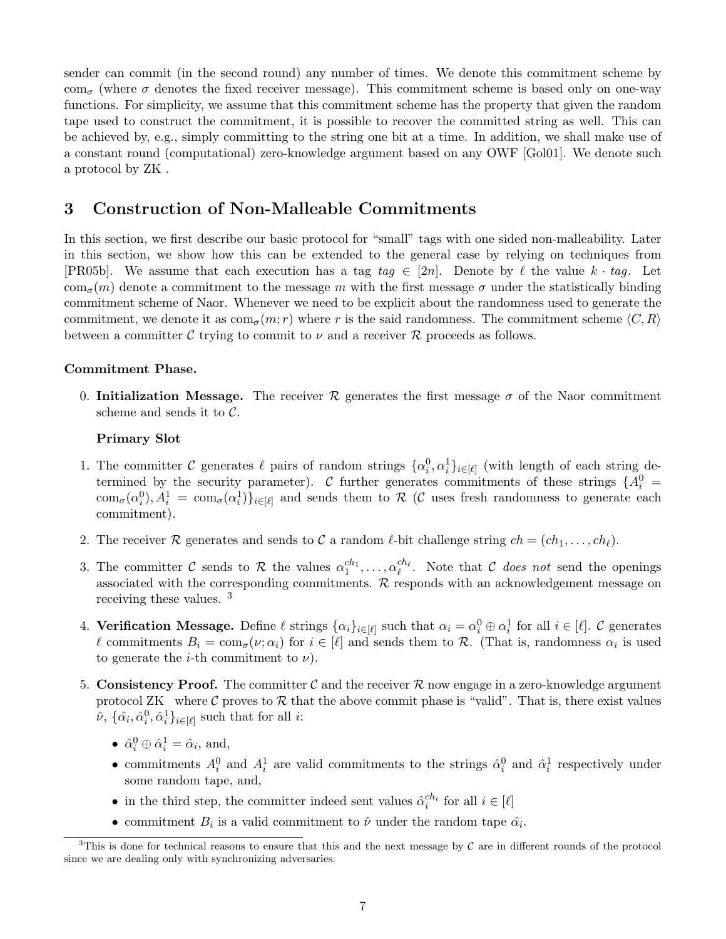sender can commit (in the second round) any number of times. We denote this commitment scheme by com<sub> $\sigma$ </sub> (where  $\sigma$  denotes the fixed receiver message). This commitment scheme is based only on one-way functions. For simplicity, we assume that this commitment scheme has the property that given the random tape used to construct the commitment, it is possible to recover the committed string as well. This can be achieved by, e.g., simply committing to the string one bit at a time. In addition, we shall make use of a constant round (computational) zero-knowledge argument based on any OWF [Gol01]. We denote such a protocol by ZK .

## 3 Construction of Non-Malleable Commitments

In this section, we first describe our basic protocol for "small" tags with one sided non-malleability. Later in this section, we show how this can be extended to the general case by relying on techniques from [PR05b]. We assume that each execution has a tag  $taq \in [2n]$ . Denote by  $\ell$  the value  $k \cdot taq$ . Let com<sub> $\sigma$ </sub>(m) denote a commitment to the message m with the first message  $\sigma$  under the statistically binding commitment scheme of Naor. Whenever we need to be explicit about the randomness used to generate the commitment, we denote it as  $\text{com}_{\sigma}(m; r)$  where r is the said randomness. The commitment scheme  $\langle C, R \rangle$ between a committer C trying to commit to  $\nu$  and a receiver R proceeds as follows.

### Commitment Phase.

0. Initialization Message. The receiver R generates the first message  $\sigma$  of the Naor commitment scheme and sends it to  $\mathcal{C}$ .

### Primary Slot

- 1. The committer C generates  $\ell$  pairs of random strings  $\{\alpha_i^0, \alpha_i^1\}_{i\in[\ell]}$  (with length of each string determined by the security parameter). C further generates commitments of these strings  $\{A_i^0\}$  $\text{com}_{\sigma}(\alpha_i^0), A_i^1 = \text{com}_{\sigma}(\alpha_i^1) \}_{i \in [\ell]}$  and sends them to R (C uses fresh randomness to generate each commitment).
- 2. The receiver R generates and sends to C a random  $\ell$ -bit challenge string  $ch = (ch_1, \ldots, ch_\ell)$ .
- 3. The committer C sends to R the values  $\alpha_1^{ch_1}, \ldots, \alpha_\ell^{ch_\ell}$ . Note that C does not send the openings associated with the corresponding commitments.  $R$  responds with an acknowledgement message on receiving these values. <sup>3</sup>
- 4. Verification Message. Define  $\ell$  strings  $\{\alpha_i\}_{i\in[\ell]}$  such that  $\alpha_i = \alpha_i^0 \oplus \alpha_i^1$  for all  $i \in [\ell]$ .  $\mathcal C$  generates  $\ell$  commitments  $B_i = \text{com}_{\sigma}(\nu; \alpha_i)$  for  $i \in [\ell]$  and sends them to R. (That is, randomness  $\alpha_i$  is used to generate the *i*-th commitment to  $\nu$ ).
- 5. Consistency Proof. The committer C and the receiver  $\mathcal R$  now engage in a zero-knowledge argument protocol ZK where C proves to  $\mathcal R$  that the above commit phase is "valid". That is, there exist values  $\hat{\nu}$ ,  $\{\hat{\alpha}_i, \hat{\alpha}_i^0, \hat{\alpha}_i^1\}_{i \in [\ell]}$  such that for all *i*:
	- $\hat{\alpha}_i^0 \oplus \hat{\alpha}_i^1 = \hat{\alpha}_i$ , and,
	- commitments  $A_i^0$  and  $A_i^1$  are valid commitments to the strings  $\hat{\alpha}_i^0$  and  $\hat{\alpha}_i^1$  respectively under some random tape, and,
	- in the third step, the committer indeed sent values  $\hat{\alpha}_i^{ch_i}$  for all  $i \in [\ell]$
	- commitment  $B_i$  is a valid commitment to  $\hat{\nu}$  under the random tape  $\hat{\alpha}_i$ .

<sup>&</sup>lt;sup>3</sup>This is done for technical reasons to ensure that this and the next message by  $\mathcal C$  are in different rounds of the protocol since we are dealing only with synchronizing adversaries.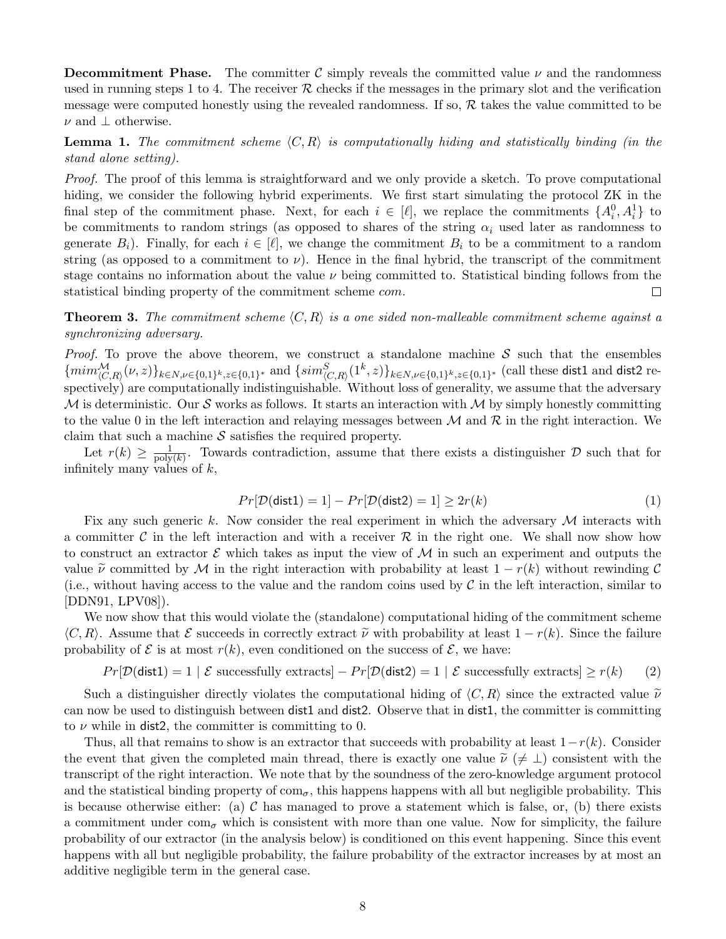**Decommitment Phase.** The committer C simply reveals the committed value  $\nu$  and the randomness used in running steps 1 to 4. The receiver  $R$  checks if the messages in the primary slot and the verification message were computed honestly using the revealed randomness. If so,  $R$  takes the value committed to be  $\nu$  and  $\perp$  otherwise.

**Lemma 1.** The commitment scheme  $\langle C, R \rangle$  is computationally hiding and statistically binding (in the stand alone setting).

Proof. The proof of this lemma is straightforward and we only provide a sketch. To prove computational hiding, we consider the following hybrid experiments. We first start simulating the protocol ZK in the final step of the commitment phase. Next, for each  $i \in [\ell]$ , we replace the commitments  $\{A_i^0, A_i^1\}$  to be commitments to random strings (as opposed to shares of the string  $\alpha_i$  used later as randomness to generate  $B_i$ ). Finally, for each  $i \in [\ell]$ , we change the commitment  $B_i$  to be a commitment to a random string (as opposed to a commitment to  $\nu$ ). Hence in the final hybrid, the transcript of the commitment stage contains no information about the value  $\nu$  being committed to. Statistical binding follows from the statistical binding property of the commitment scheme com.  $\Box$ 

**Theorem 3.** The commitment scheme  $\langle C, R \rangle$  is a one sided non-malleable commitment scheme against a synchronizing adversary.

*Proof.* To prove the above theorem, we construct a standalone machine  $S$  such that the ensembles  $\{min_{(C,R)}^{\mathcal{M}}(\nu, z)\}_{k \in N, \nu \in \{0,1\}^k, z \in \{0,1\}^*}$  and  $\{sim_{(C,R)}^S(1^k, z)\}_{k \in N, \nu \in \{0,1\}^k, z \in \{0,1\}^*}$  (call these dist1 and dist2 respectively) are computationally indistinguishable. Without loss of generality, we assume that the adversary M is deterministic. Our S works as follows. It starts an interaction with M by simply honestly committing to the value 0 in the left interaction and relaying messages between  $\mathcal M$  and  $\mathcal R$  in the right interaction. We claim that such a machine  $S$  satisfies the required property.

Let  $r(k) \geq \frac{1}{\text{poly}}$  $\frac{1}{\text{poly}(k)}$ . Towards contradiction, assume that there exists a distinguisher  $\mathcal{D}$  such that for infinitely many values of  $k$ ,

$$
Pr[\mathcal{D}(\text{dist1}) = 1] - Pr[\mathcal{D}(\text{dist2}) = 1] \ge 2r(k)
$$
\n(1)

Fix any such generic k. Now consider the real experiment in which the adversary  $M$  interacts with a committer C in the left interaction and with a receiver  $\mathcal R$  in the right one. We shall now show how to construct an extractor  $\mathcal E$  which takes as input the view of M in such an experiment and outputs the value  $\tilde{\nu}$  committed by M in the right interaction with probability at least  $1 - r(k)$  without rewinding C (i.e., without having access to the value and the random coins used by  $\mathcal C$  in the left interaction, similar to [DDN91, LPV08]).

We now show that this would violate the (standalone) computational hiding of the commitment scheme  $\langle C, R \rangle$ . Assume that E succeeds in correctly extract  $\tilde{\nu}$  with probability at least  $1 - r(k)$ . Since the failure probability of  $\mathcal E$  is at most  $r(k)$ , even conditioned on the success of  $\mathcal E$ , we have:

 $Pr[\mathcal{D}(\text{dist1}) = 1 | \mathcal{E} \text{ successfully extracts}] - Pr[\mathcal{D}(\text{dist2}) = 1 | \mathcal{E} \text{ successfully extracts}] \ge r(k)$  (2)

Such a distinguisher directly violates the computational hiding of  $\langle C, R \rangle$  since the extracted value  $\tilde{\nu}$ can now be used to distinguish between dist1 and dist2. Observe that in dist1, the committer is committing to  $\nu$  while in dist2, the committer is committing to 0.

Thus, all that remains to show is an extractor that succeeds with probability at least  $1-r(k)$ . Consider the event that given the completed main thread, there is exactly one value  $\tilde{\nu}$  ( $\neq \perp$ ) consistent with the transcript of the right interaction. We note that by the soundness of the zero-knowledge argument protocol and the statistical binding property of  $com_{\sigma}$ , this happens happens with all but negligible probability. This is because otherwise either: (a)  $\mathcal C$  has managed to prove a statement which is false, or, (b) there exists a commitment under  $com_{\sigma}$  which is consistent with more than one value. Now for simplicity, the failure probability of our extractor (in the analysis below) is conditioned on this event happening. Since this event happens with all but negligible probability, the failure probability of the extractor increases by at most an additive negligible term in the general case.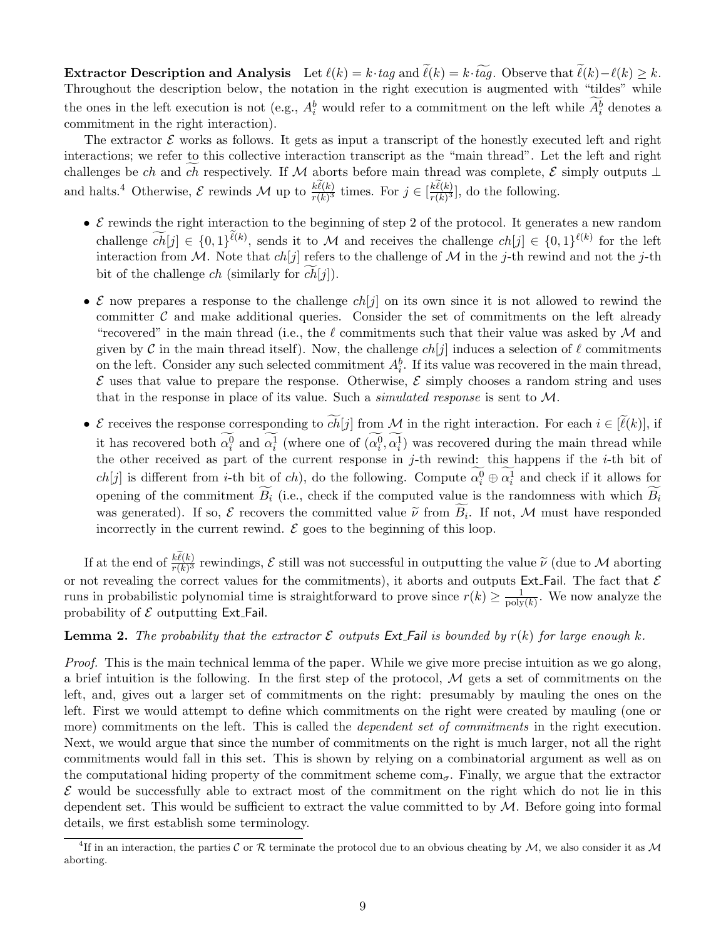Extractor Description and Analysis Let  $\ell(k) = k \cdot tag$  and  $\tilde{\ell}(k) = k \cdot \tilde{t} \tilde{q} q$ . Observe that  $\tilde{\ell}(k) - \ell(k) \geq k$ . Throughout the description below, the notation in the right execution is augmented with "tildes" while the ones in the left execution is not (e.g.,  $A_i^b$  would refer to a commitment on the left while  $A_i^b$  denotes a commitment in the right interaction).

The extractor  $\mathcal E$  works as follows. It gets as input a transcript of the honestly executed left and right interactions; we refer to this collective interaction transcript as the "main thread". Let the left and right challenges be ch and ch respectively. If M aborts before main thread was complete,  $\mathcal E$  simply outputs ⊥ and halts.<sup>4</sup> Otherwise,  $\mathcal E$  rewinds  $\mathcal M$  up to  $\frac{k\ell(k)}{r(k)^3}$  times. For  $j \in \left[\frac{k\ell(k)}{r(k)^3}\right]$ , do the following.

- $\mathcal E$  rewinds the right interaction to the beginning of step 2 of the protocol. It generates a new random challenge  $ch[j] \in \{0,1\}^{\ell(k)}$ , sends it to M and receives the challenge  $ch[j] \in \{0,1\}^{\ell(k)}$  for the left interaction from M. Note that  $ch[j]$  refers to the challenge of M in the j-th rewind and not the j-th bit of the challenge *ch* (similarly for  $ch[j]$ ).
- E now prepares a response to the challenge  $ch[j]$  on its own since it is not allowed to rewind the committer  $\mathcal C$  and make additional queries. Consider the set of commitments on the left already "recovered" in the main thread (i.e., the  $\ell$  commitments such that their value was asked by  $\mathcal M$  and given by C in the main thread itself). Now, the challenge  $ch[j]$  induces a selection of  $\ell$  commitments on the left. Consider any such selected commitment  $A_i^b$ . If its value was recovered in the main thread,  $\mathcal E$  uses that value to prepare the response. Otherwise,  $\mathcal E$  simply chooses a random string and uses that in the response in place of its value. Such a *simulated response* is sent to  $M$ .
- E receives the response corresponding to  $c\bar{h}[j]$  from M in the right interaction. For each  $i \in [\ell(k)]$ , if it has recovered both  $\alpha_i^0$  and  $\alpha_i^1$  (where one of  $(\alpha_i^0, \alpha_i^1)$  was recovered during the main thread while the other received as part of the current response in  $j$ -th rewind: this happens if the  $i$ -th bit of  $ch[j]$  is different from *i*-th bit of ch, do the following. Compute  $\alpha_i^0 \oplus \alpha_i^1$  and check if it allows for opening of the commitment  $\widetilde{B}_i$  (i.e., check if the computed value is the randomness with which  $\widetilde{B}_i$ was generated). If so,  $\mathcal E$  recovers the committed value  $\tilde{\nu}$  from  $B_i$ . If not,  $\mathcal M$  must have responded incorrectly in the current rewind  $\mathcal E$  goes to the beginning of this loop. incorrectly in the current rewind.  $\mathcal E$  goes to the beginning of this loop.

If at the end of  $\frac{k\ell(k)}{r(k)^3}$  rewindings, E still was not successful in outputting the value  $\tilde{\nu}$  (due to M aborting or not revealing the correct values for the commitments), it aborts and outputs Ext\_Fail. The fact that  $\mathcal E$ runs in probabilistic polynomial time is straightforward to prove since  $r(k) \geq \frac{1}{20k}$  $\frac{1}{\text{poly}(k)}$ . We now analyze the probability of  $\mathcal E$  outputting Ext\_Fail.

**Lemma 2.** The probability that the extractor  $\mathcal{E}$  outputs Ext. Fail is bounded by  $r(k)$  for large enough k.

Proof. This is the main technical lemma of the paper. While we give more precise intuition as we go along, a brief intuition is the following. In the first step of the protocol,  $\mathcal M$  gets a set of commitments on the left, and, gives out a larger set of commitments on the right: presumably by mauling the ones on the left. First we would attempt to define which commitments on the right were created by mauling (one or more) commitments on the left. This is called the *dependent set of commitments* in the right execution. Next, we would argue that since the number of commitments on the right is much larger, not all the right commitments would fall in this set. This is shown by relying on a combinatorial argument as well as on the computational hiding property of the commitment scheme  $com_{\sigma}$ . Finally, we argue that the extractor  $\mathcal E$  would be successfully able to extract most of the commitment on the right which do not lie in this dependent set. This would be sufficient to extract the value committed to by  $\mathcal{M}$ . Before going into formal details, we first establish some terminology.

<sup>&</sup>lt;sup>4</sup>If in an interaction, the parties C or R terminate the protocol due to an obvious cheating by M, we also consider it as M aborting.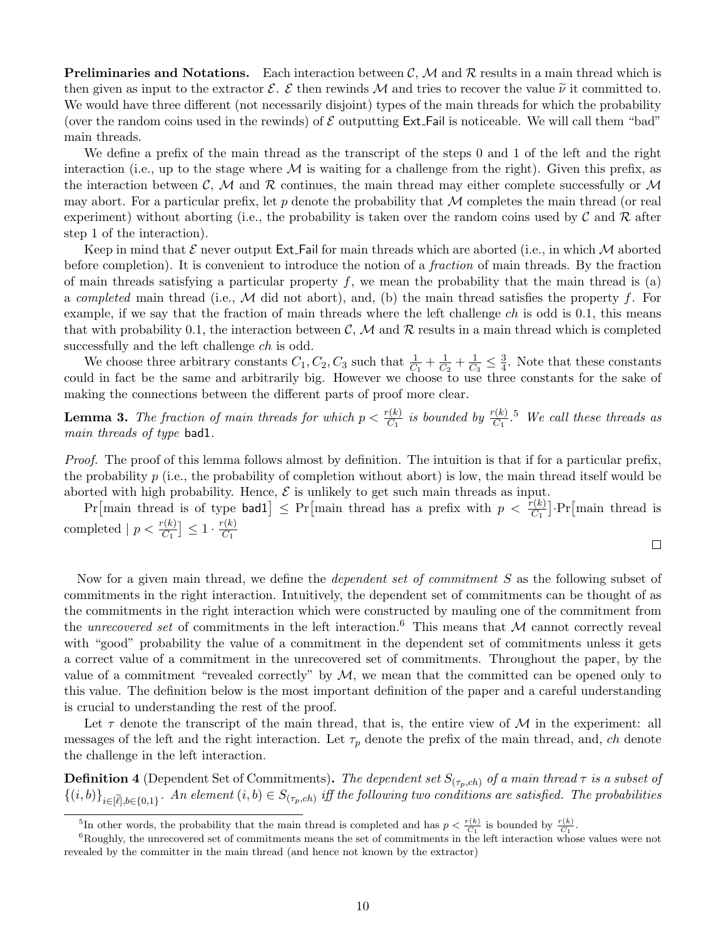**Preliminaries and Notations.** Each interaction between  $\mathcal{C}, \mathcal{M}$  and  $\mathcal{R}$  results in a main thread which is then given as input to the extractor  $\mathcal{E}$ . E then rewinds M and tries to recover the value  $\tilde{\nu}$  it committed to. We would have three different (not necessarily disjoint) types of the main threads for which the probability (over the random coins used in the rewinds) of  $\mathcal E$  outputting Ext. Fail is noticeable. We will call them "bad" main threads.

We define a prefix of the main thread as the transcript of the steps 0 and 1 of the left and the right interaction (i.e., up to the stage where  $M$  is waiting for a challenge from the right). Given this prefix, as the interaction between C, M and R continues, the main thread may either complete successfully or M may abort. For a particular prefix, let p denote the probability that  $\mathcal M$  completes the main thread (or real experiment) without aborting (i.e., the probability is taken over the random coins used by  $\mathcal C$  and  $\mathcal R$  after step 1 of the interaction).

Keep in mind that  $\mathcal E$  never output Ext. Fail for main threads which are aborted (i.e., in which M aborted before completion). It is convenient to introduce the notion of a fraction of main threads. By the fraction of main threads satisfying a particular property  $f$ , we mean the probability that the main thread is (a) a completed main thread (i.e.,  $M$  did not abort), and, (b) the main thread satisfies the property f. For example, if we say that the fraction of main threads where the left challenge  $ch$  is odd is 0.1, this means that with probability 0.1, the interaction between  $\mathcal{C}, \mathcal{M}$  and  $\mathcal{R}$  results in a main thread which is completed successfully and the left challenge  $ch$  is odd.

We choose three arbitrary constants  $C_1, C_2, C_3$  such that  $\frac{1}{C_1} + \frac{1}{C_2}$  $\frac{1}{C_2} + \frac{1}{C_3}$  $\frac{1}{C_3} \leq \frac{3}{4}$  $\frac{3}{4}$ . Note that these constants could in fact be the same and arbitrarily big. However we choose to use three constants for the sake of making the connections between the different parts of proof more clear.

**Lemma 3.** The fraction of main threads for which  $p < \frac{r(k)}{C_1}$  is bounded by  $\frac{r(k)}{C_1}$ .<sup>5</sup> We call these threads as main threads of type bad1.

Proof. The proof of this lemma follows almost by definition. The intuition is that if for a particular prefix, the probability  $p$  (i.e., the probability of completion without abort) is low, the main thread itself would be aborted with high probability. Hence,  $\mathcal E$  is unlikely to get such main threads as input.

 $Pr[\text{main thread is of type bad1}] \leq Pr[\text{main thread has a prefix with } p \lt \frac{r(k)}{C_1}] \cdot Pr[\text{main thread is}$ completed  $|p < \frac{r(k)}{C_1}| \leq 1 \cdot \frac{r(k)}{C_1}$  $C_1$ 

$$
\Box
$$

Now for a given main thread, we define the *dependent set of commitment S* as the following subset of commitments in the right interaction. Intuitively, the dependent set of commitments can be thought of as the commitments in the right interaction which were constructed by mauling one of the commitment from the unrecovered set of commitments in the left interaction.<sup>6</sup> This means that  $\mathcal M$  cannot correctly reveal with "good" probability the value of a commitment in the dependent set of commitments unless it gets a correct value of a commitment in the unrecovered set of commitments. Throughout the paper, by the value of a commitment "revealed correctly" by  $M$ , we mean that the committed can be opened only to this value. The definition below is the most important definition of the paper and a careful understanding is crucial to understanding the rest of the proof.

Let  $\tau$  denote the transcript of the main thread, that is, the entire view of M in the experiment: all messages of the left and the right interaction. Let  $\tau_p$  denote the prefix of the main thread, and, ch denote the challenge in the left interaction.

**Definition 4** (Dependent Set of Commitments). The dependent set  $S_{(\tau_p, ch)}$  of a main thread  $\tau$  is a subset of  $\{(i,b)\}_{i\in\lbrack\widetilde{\ell}],b\in\{0,1\}}$ . An element  $(i,b)\in S_{(\tau_p,ch)}$  iff the following two conditions are satisfied. The probabilities

<sup>&</sup>lt;sup>5</sup>In other words, the probability that the main thread is completed and has  $p < \frac{r(k)}{C_1}$  is bounded by  $\frac{r(k)}{C_1}$ .

 $6R\text{oughly, the unrecovered set of commitments means the set of commitments in the left interaction whose values were not$ revealed by the committer in the main thread (and hence not known by the extractor)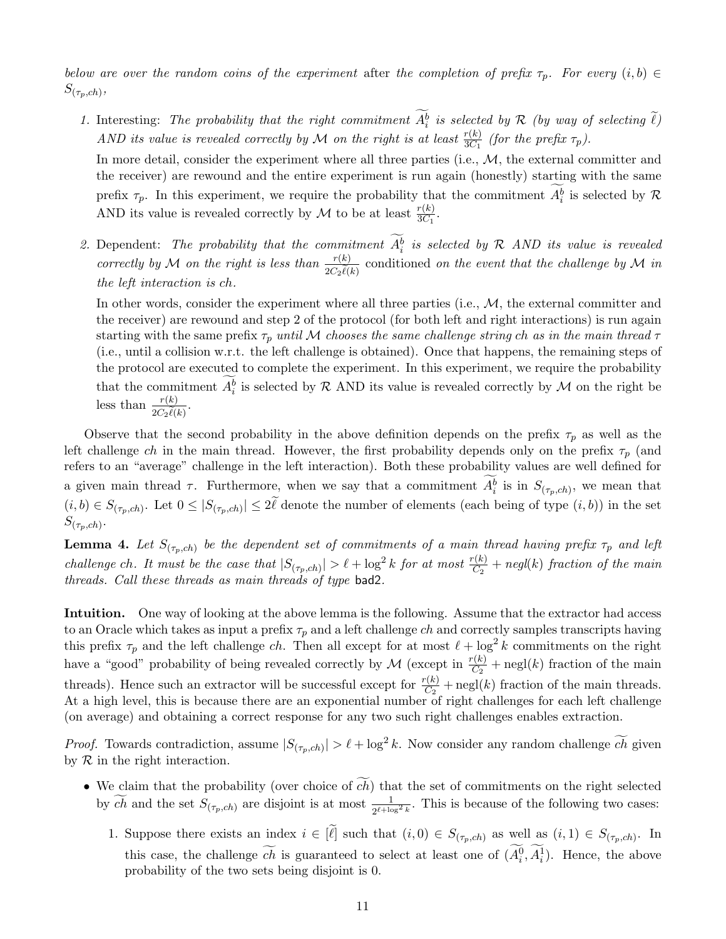below are over the random coins of the experiment after the completion of prefix  $\tau_p$ . For every  $(i, b) \in$  $S_{(\tau_p,ch)},$ 

1. Interesting: The probability that the right commitment  $A_i^b$  is selected by  $\mathcal R$  (by way of selecting  $\ell$ ) AND its value is revealed correctly by M on the right is at least  $\frac{r(k)}{3C_1}$  (for the prefix  $\tau_p$ ).

In more detail, consider the experiment where all three parties (i.e.,  $M$ , the external committer and the receiver) are rewound and the entire experiment is run again (honestly) starting with the same prefix  $\tau_p$ . In this experiment, we require the probability that the commitment  $A_i^b$  is selected by  $\mathcal R$ AND its value is revealed correctly by  $\mathcal M$  to be at least  $\frac{r(k)}{3C_1}$ .

2. Dependent: The probability that the commitment  $A_i^b$  is selected by R AND its value is revealed correctly by M on the right is less than  $\frac{r(k)}{2C\tilde{k}}$  $2C_2\ell(k)$ conditioned on the event that the challenge by  $\mathcal M$  in the left interaction is ch.

In other words, consider the experiment where all three parties (i.e.,  $M$ , the external committer and the receiver) are rewound and step 2 of the protocol (for both left and right interactions) is run again starting with the same prefix  $\tau_p$  until M chooses the same challenge string ch as in the main thread  $\tau$ (i.e., until a collision w.r.t. the left challenge is obtained). Once that happens, the remaining steps of the protocol are executed to complete the experiment. In this experiment, we require the probability that the commitment  $A_i^b$  is selected by R AND its value is revealed correctly by M on the right be less than  $\frac{r(k)}{2C}$  $2C_2\ell(k)$ .

Observe that the second probability in the above definition depends on the prefix  $\tau_p$  as well as the left challenge ch in the main thread. However, the first probability depends only on the prefix  $\tau_p$  (and refers to an "average" challenge in the left interaction). Both these probability values are well defined for a given main thread  $\tau$ . Furthermore, when we say that a commitment  $A_i^b$  is in  $S_{(\tau_p, ch)}$ , we mean that  $(i, b) \in S_{(\tau_p, ch)}$ . Let  $0 \leq |S_{(\tau_p, ch)}| \leq 2\ell$  denote the number of elements (each being of type  $(i, b)$ ) in the set  $S_{(\tau_p, ch)}.$ 

**Lemma 4.** Let  $S_{(\tau_p, ch)}$  be the dependent set of commitments of a main thread having prefix  $\tau_p$  and left challenge ch. It must be the case that  $|S_{(\tau_p, ch)}| > \ell + \log^2 k$  for at most  $\frac{r(k)}{C_2}$  + negl(k) fraction of the main threads. Call these threads as main threads of type bad2.

Intuition. One way of looking at the above lemma is the following. Assume that the extractor had access to an Oracle which takes as input a prefix  $\tau_p$  and a left challenge ch and correctly samples transcripts having this prefix  $\tau_p$  and the left challenge ch. Then all except for at most  $\ell + \log^2 k$  commitments on the right have a "good" probability of being revealed correctly by  $\mathcal M$  (except in  $\frac{r(k)}{C_2}$  + negl(k) fraction of the main threads). Hence such an extractor will be successful except for  $\frac{r(k)}{C_2}$  + negl(k) fraction of the main threads. At a high level, this is because there are an exponential number of right challenges for each left challenge (on average) and obtaining a correct response for any two such right challenges enables extraction.

*Proof.* Towards contradiction, assume  $|S_{(\tau_p, ch)}| > \ell + \log^2 k$ . Now consider any random challenge  $\widetilde{ch}$  given by  $R$  in the right interaction.

- We claim that the probability (over choice of  $\widetilde{ch}$ ) that the set of commitments on the right selected by ch and the set  $S_{(\tau_p, ch)}$  are disjoint is at most  $\frac{1}{2^{\ell+\log 2}k}$ . This is because of the following two cases:
	- 1. Suppose there exists an index  $i \in [\ell]$  such that  $(i, 0) \in S_{(\tau_p, ch)}$  as well as  $(i, 1) \in S_{(\tau_p, ch)}$ . In this case, the challenge *ch* is guaranteed to select at least one of  $(A_i^0, A_i^1)$ . Hence, the above probability of the two sets being disjoint is 0.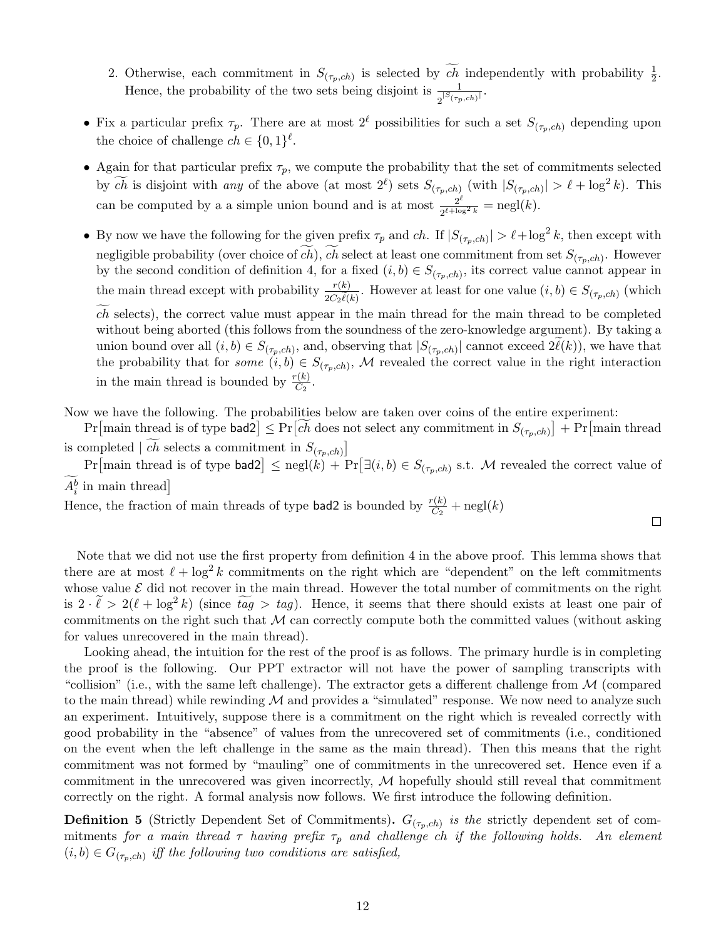- 2. Otherwise, each commitment in  $S_{(\tau_p, ch)}$  is selected by  $\widetilde{ch}$  independently with probability  $\frac{1}{2}$ . Hence, the probability of the two sets being disjoint is  $\frac{1}{2^{|S(\tau_p, ch)|}}$ .
- Fix a particular prefix  $\tau_p$ . There are at most  $2^\ell$  possibilities for such a set  $S_{(\tau_p,ch)}$  depending upon the choice of challenge  $ch \in \{0,1\}^{\ell}$ .
- Again for that particular prefix  $\tau_p$ , we compute the probability that the set of commitments selected by  $\widetilde{ch}$  is disjoint with any of the above (at most  $2^{\ell}$ ) sets  $S_{(\tau_p, ch)}$  (with  $|S_{(\tau_p, ch)}| > \ell + \log^2 k$ ). This can be computed by a a simple union bound and is at most  $\frac{2^{\ell}}{2^{\ell+1}\alpha}$  $\frac{2^{\epsilon}}{2^{\ell + \log^2 k}} = \operatorname{negl}(k).$
- By now we have the following for the given prefix  $\tau_p$  and ch. If  $|S_{(\tau_p, ch)}| > \ell + \log^2 k$ , then except with negligible probability (over choice of ch), ch select at least one commitment from set  $S_{(\tau_p, ch)}$ . However by the second condition of definition 4, for a fixed  $(i, b) \in S_{(\tau_p, ch)}$ , its correct value cannot appear in the main thread except with probability  $\frac{r(k)}{2C\tilde{k}}$  $\frac{r(\kappa)}{2C_2\tilde{\ell}(\kappa)}$ . However at least for one value  $(i, b) \in S_{(\tau_p, ch)}$  (which

 $c\bar{h}$  selects), the correct value must appear in the main thread for the main thread to be completed without being aborted (this follows from the soundness of the zero-knowledge argument). By taking a union bound over all  $(i, b) \in S_{(\tau_p, ch)}$ , and, observing that  $|S_{(\tau_p, ch)}|$  cannot exceed  $2\ell(k)$ ), we have that the probability that for *some*  $(i, b) \in S_{(\tau_p, ch)}$ , M revealed the correct value in the right interaction in the main thread is bounded by  $\frac{r(k)}{C_2}$ .

Now we have the following. The probabilities below are taken over coins of the entire experiment:

 $Pr[\text{main thread is of type bad2}] \leq Pr[ch\text{ does not select any commitment in } S_{(\tau_p, ch)}] + Pr[\text{main thread}]$ is completed  $|ch$  selects a commitment in  $S_{(\tau_p,ch)}$ 

 $Pr[\text{main thread is of type bad2}] \leq negl(k) + Pr[\exists (i, b) \in S_{(\tau_p, ch)} \text{ s.t. } M \text{ revealed the correct value of } \frac{1}{n}$  $A_i^b$  in main thread]

 $\Box$ 

Hence, the fraction of main threads of type **bad2** is bounded by  $\frac{r(k)}{C_2}$  + negl(k)

Note that we did not use the first property from definition 4 in the above proof. This lemma shows that there are at most  $\ell + \log^2 k$  commitments on the right which are "dependent" on the left commitments whose value  $\mathcal E$  did not recover in the main thread. However the total number of commitments on the right is  $2 \cdot \tilde{\ell} > 2(\ell + \log^2 k)$  (since  $\tilde{t} \tilde{g} > tag$ ). Hence, it seems that there should exists at least one pair of commitments on the right such that  $\mathcal M$  can correctly compute both the committed values (without asking for values unrecovered in the main thread).

Looking ahead, the intuition for the rest of the proof is as follows. The primary hurdle is in completing the proof is the following. Our PPT extractor will not have the power of sampling transcripts with "collision" (i.e., with the same left challenge). The extractor gets a different challenge from  $\mathcal M$  (compared to the main thread) while rewinding  $\mathcal M$  and provides a "simulated" response. We now need to analyze such an experiment. Intuitively, suppose there is a commitment on the right which is revealed correctly with good probability in the "absence" of values from the unrecovered set of commitments (i.e., conditioned on the event when the left challenge in the same as the main thread). Then this means that the right commitment was not formed by "mauling" one of commitments in the unrecovered set. Hence even if a commitment in the unrecovered was given incorrectly,  $M$  hopefully should still reveal that commitment correctly on the right. A formal analysis now follows. We first introduce the following definition.

**Definition 5** (Strictly Dependent Set of Commitments).  $G_{(\tau_p, ch)}$  is the strictly dependent set of commitments for a main thread  $\tau$  having prefix  $\tau_p$  and challenge ch if the following holds. An element  $(i, b) \in G_{(\tau_p, ch)}$  iff the following two conditions are satisfied,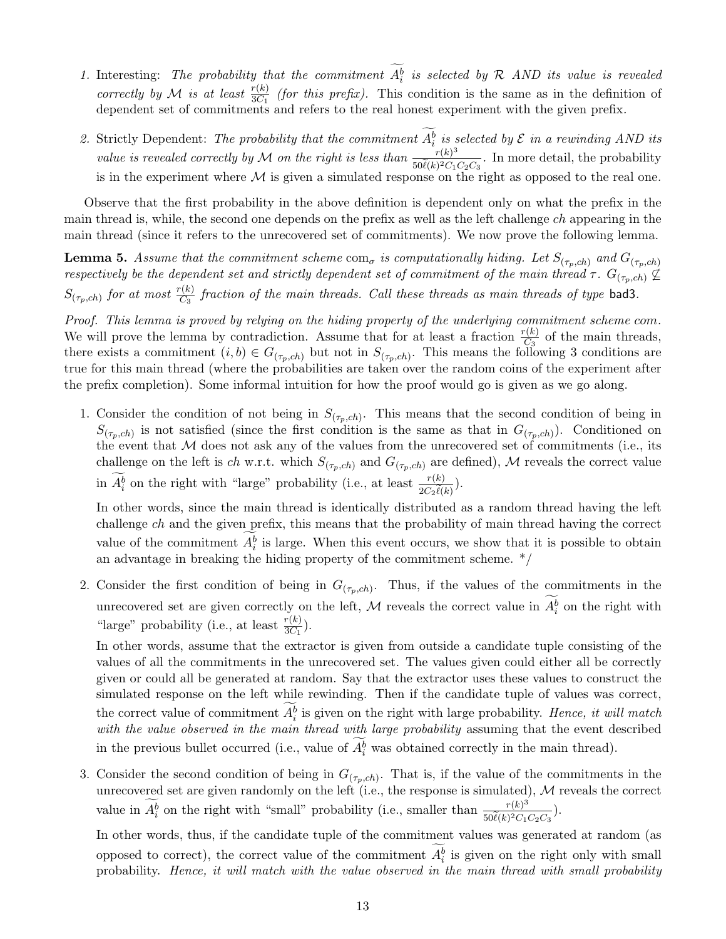- 1. Interesting: The probability that the commitment  $A_i^b$  is selected by R AND its value is revealed correctly by M is at least  $\frac{r(k)}{3C_1}$  (for this prefix). This condition is the same as in the definition of dependent set of commitments and refers to the real honest experiment with the given prefix.
- 2. Strictly Dependent: The probability that the commitment  $A_i^b$  is selected by  $\mathcal E$  in a rewinding AND its value is revealed correctly by M on the right is less than  $\frac{r(k)^3}{r^{\alpha}(k)2G}$  $\frac{r(\kappa)^3}{50\ell(\kappa)^2C_1C_2C_3}$ . In more detail, the probability is in the experiment where  $\mathcal M$  is given a simulated response on the right as opposed to the real one.

Observe that the first probability in the above definition is dependent only on what the prefix in the main thread is, while, the second one depends on the prefix as well as the left challenge ch appearing in the main thread (since it refers to the unrecovered set of commitments). We now prove the following lemma.

**Lemma 5.** Assume that the commitment scheme com<sub>σ</sub> is computationally hiding. Let  $S_{(\tau_p, ch)}$  and  $G_{(\tau_p, ch)}$ respectively be the dependent set and strictly dependent set of commitment of the main thread  $\tau$ .  $G_{(\tau_p, ch)} \not\subseteq$  $S_{(\tau_p, ch)}$  for at most  $\frac{r(k)}{C_3}$  fraction of the main threads. Call these threads as main threads of type bad3.

Proof. This lemma is proved by relying on the hiding property of the underlying commitment scheme com. We will prove the lemma by contradiction. Assume that for at least a fraction  $\frac{r(k)}{C_3}$  of the main threads, there exists a commitment  $(i, b) \in G_{(\tau_p, ch)}$  but not in  $S_{(\tau_p, ch)}$ . This means the following 3 conditions are true for this main thread (where the probabilities are taken over the random coins of the experiment after the prefix completion). Some informal intuition for how the proof would go is given as we go along.

1. Consider the condition of not being in  $S_{(\tau_p, ch)}$ . This means that the second condition of being in  $S_{(\tau_p, ch)}$  is not satisfied (since the first condition is the same as that in  $G_{(\tau_p, ch)}$ ). Conditioned on the event that  $M$  does not ask any of the values from the unrecovered set of commitments (i.e., its challenge on the left is ch w.r.t. which  $S_{(\tau_p, ch)}$  and  $G_{(\tau_p, ch)}$  are defined), M reveals the correct value in  $A_i^b$  on the right with "large" probability (i.e., at least  $\frac{r(k)}{2C\epsilon\tilde{k}}$  $2C_2\ell(k)$ ).

In other words, since the main thread is identically distributed as a random thread having the left challenge  $ch$  and the given prefix, this means that the probability of main thread having the correct value of the commitment  $A_i^b$  is large. When this event occurs, we show that it is possible to obtain an advantage in breaking the hiding property of the commitment scheme. \*/

2. Consider the first condition of being in  $G_{(\tau_p, ch)}$ . Thus, if the values of the commitments in the unrecovered set are given correctly on the left, M reveals the correct value in  $A_i^b$  on the right with "large" probability (i.e., at least  $\frac{r(k)}{3C_1}$ ).

In other words, assume that the extractor is given from outside a candidate tuple consisting of the values of all the commitments in the unrecovered set. The values given could either all be correctly given or could all be generated at random. Say that the extractor uses these values to construct the simulated response on the left while rewinding. Then if the candidate tuple of values was correct, the correct value of commitment  $A_i^b$  is given on the right with large probability. Hence, it will match with the value observed in the main thread with large probability assuming that the event described in the previous bullet occurred (i.e., value of  $A_i^b$  was obtained correctly in the main thread).

3. Consider the second condition of being in  $G_{(\tau_p, ch)}$ . That is, if the value of the commitments in the unrecovered set are given randomly on the left (i.e., the response is simulated),  $\mathcal M$  reveals the correct value in  $\widetilde{A_i^b}$  on the right with "small" probability (i.e., smaller than  $\frac{r(k)^3}{50\ell(k)^2C_1}$  $\frac{r(k)^{3}}{50\tilde{\ell}(k)^{2}C_{1}C_{2}C_{3}}$ ).

In other words, thus, if the candidate tuple of the commitment values was generated at random (as opposed to correct), the correct value of the commitment  $A_i^b$  is given on the right only with small probability. Hence, it will match with the value observed in the main thread with small probability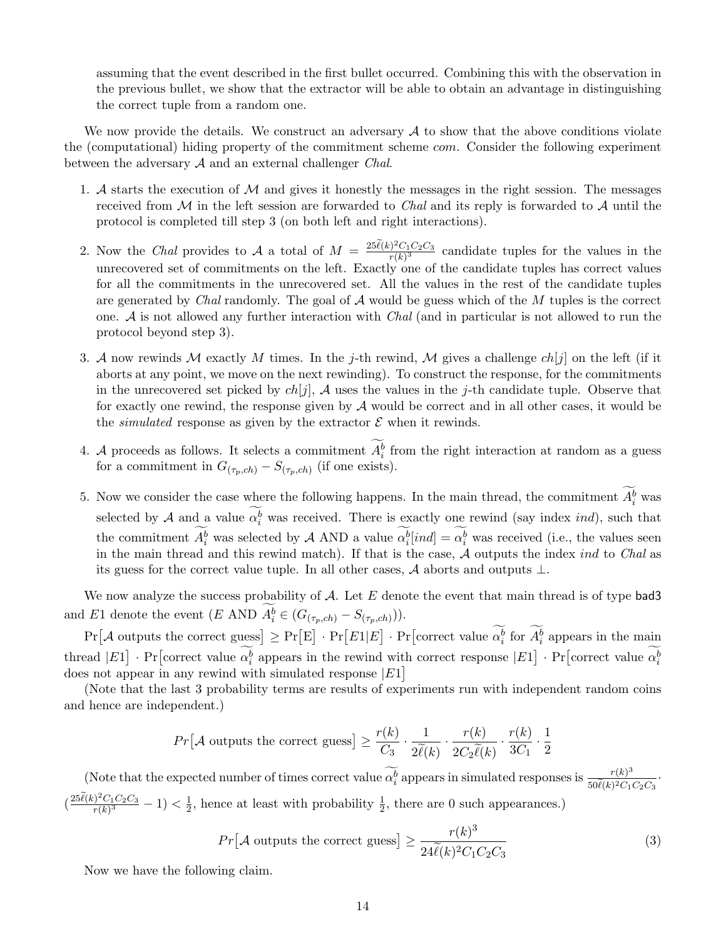assuming that the event described in the first bullet occurred. Combining this with the observation in the previous bullet, we show that the extractor will be able to obtain an advantage in distinguishing the correct tuple from a random one.

We now provide the details. We construct an adversary  $A$  to show that the above conditions violate the (computational) hiding property of the commitment scheme com. Consider the following experiment between the adversary  $A$  and an external challenger *Chal.* 

- 1. A starts the execution of  $M$  and gives it honestly the messages in the right session. The messages received from  $\mathcal M$  in the left session are forwarded to *Chal* and its reply is forwarded to  $\mathcal A$  until the protocol is completed till step 3 (on both left and right interactions).
- 2. Now the Chal provides to A a total of  $M = \frac{25\tilde{\ell}(k)^2 C_1 C_2 C_3}{r(k)^3}$  $\frac{(r-1)(r-1)}{(r-k)^3}$  candidate tuples for the values in the unrecovered set of commitments on the left. Exactly one of the candidate tuples has correct values for all the commitments in the unrecovered set. All the values in the rest of the candidate tuples are generated by Chal randomly. The goal of  $A$  would be guess which of the M tuples is the correct one.  $\mathcal A$  is not allowed any further interaction with  $Chal$  (and in particular is not allowed to run the protocol beyond step 3).
- 3. A now rewinds M exactly M times. In the j-th rewind, M gives a challenge  $ch[j]$  on the left (if it aborts at any point, we move on the next rewinding). To construct the response, for the commitments in the unrecovered set picked by  $ch[j]$ , A uses the values in the j-th candidate tuple. Observe that for exactly one rewind, the response given by  $\mathcal A$  would be correct and in all other cases, it would be the *simulated* response as given by the extractor  $\mathcal E$  when it rewinds.
- 4. A proceeds as follows. It selects a commitment  $A_i^b$  from the right interaction at random as a guess for a commitment in  $G_{(\tau_p, ch)} - S_{(\tau_p, ch)}$  (if one exists).
- 5. Now we consider the case where the following happens. In the main thread, the commitment  $A_i^b$  was selected by A and a value  $\alpha_i^b$  was received. There is exactly one rewind (say index *ind*), such that the commitment  $A_i^b$  was selected by A AND a value  $\alpha_i^b$  *ind*] =  $\alpha_i^b$  was received (i.e., the values seen in the main thread and this rewind match). If that is the case,  $\hat{\mathcal{A}}$  outputs the index *ind* to *Chal* as its guess for the correct value tuple. In all other cases, A aborts and outputs  $\perp$ .

We now analyze the success probability of  $A$ . Let  $E$  denote the event that main thread is of type bad3 and E1 denote the event  $(E \text{ AND } A_i^b \in (G_{(\tau_p, ch)} - S_{(\tau_p, ch)})).$ 

 $Pr[\mathcal{A} \text{ outputs the correct guess}] \geq Pr[E] \cdot Pr[E1|E] \cdot Pr[\text{correct value } \alpha_i^b \text{ for } A_i^b \text{ appears in the main}]$ thread  $|E1] \cdot \Pr$  correct value  $\alpha_i^b$  appears in the rewind with correct response  $|E1] \cdot \Pr$  correct value  $\alpha_i^b$ does not appear in any rewind with simulated response  $|E1|$ 

(Note that the last 3 probability terms are results of experiments run with independent random coins and hence are independent.)

$$
Pr[\mathcal{A} \text{ outputs the correct guess}] \ge \frac{r(k)}{C_3} \cdot \frac{1}{2\widetilde{\ell}(k)} \cdot \frac{r(k)}{2C_2\widetilde{\ell}(k)} \cdot \frac{r(k)}{3C_1} \cdot \frac{1}{2}
$$

(Note that the expected number of times correct value  $\widetilde{\alpha_i^b}$  appears in simulated responses is  $\frac{r(k)^3}{50\ell(k)^2C_1}$  $rac{r(k)^2}{50\tilde{\ell}(k)^2C_1C_2C_3}$  $\left(\frac{25\tilde{\ell}(k)^2C_1C_2C_3}{r(k)^3}\right)$  $\frac{c_1}{c_1} \frac{C_1 C_2 C_3}{C_1} - 1 < \frac{1}{2}$  $\frac{1}{2}$ , hence at least with probability  $\frac{1}{2}$ , there are 0 such appearances.)

$$
Pr[\mathcal{A} \text{ outputs the correct guess}] \ge \frac{r(k)^3}{24\tilde{\ell}(k)^2 C_1 C_2 C_3} \tag{3}
$$

Now we have the following claim.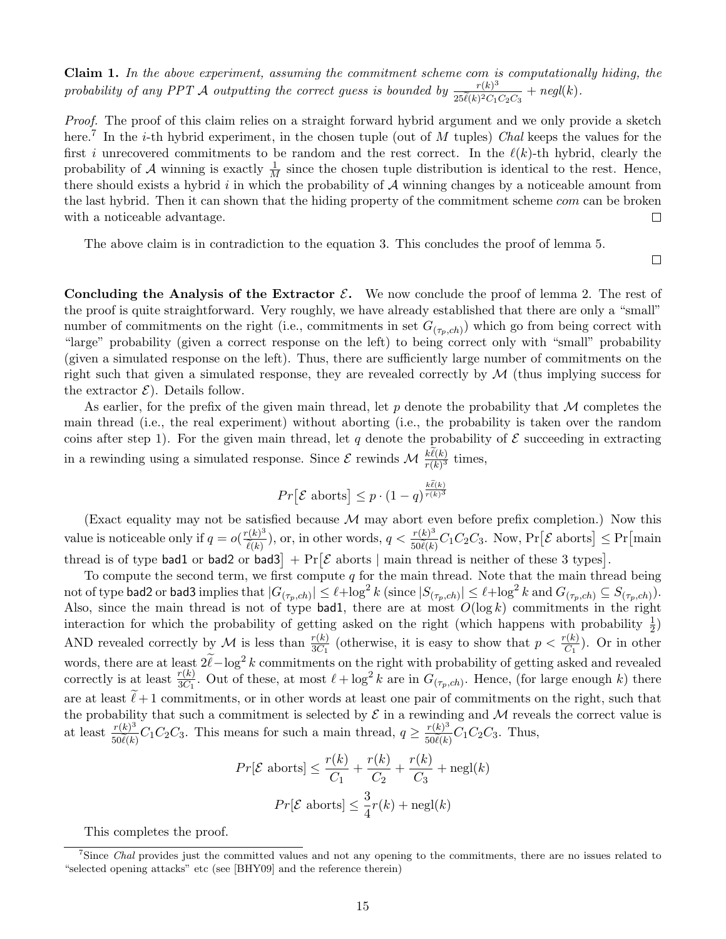Claim 1. In the above experiment, assuming the commitment scheme com is computationally hiding, the probability of any PPT A outputting the correct guess is bounded by  $\frac{r(k)^3}{25\sqrt{N}}$  $\frac{r(k)^{\circ}}{25\tilde{\ell}(k)^2C_1C_2C_3}$  +  $negl(k)$ .

Proof. The proof of this claim relies on a straight forward hybrid argument and we only provide a sketch here.<sup>7</sup> In the *i*-th hybrid experiment, in the chosen tuple (out of M tuples) Chal keeps the values for the first i unrecovered commitments to be random and the rest correct. In the  $\ell(k)$ -th hybrid, clearly the probability of A winning is exactly  $\frac{1}{M}$  since the chosen tuple distribution is identical to the rest. Hence, there should exists a hybrid  $i$  in which the probability of  $A$  winning changes by a noticeable amount from the last hybrid. Then it can shown that the hiding property of the commitment scheme com can be broken with a noticeable advantage. □

The above claim is in contradiction to the equation 3. This concludes the proof of lemma 5.

 $\Box$ 

Concluding the Analysis of the Extractor  $\mathcal{E}$ . We now conclude the proof of lemma 2. The rest of the proof is quite straightforward. Very roughly, we have already established that there are only a "small" number of commitments on the right (i.e., commitments in set  $G_{(\tau_p, ch)})$  which go from being correct with "large" probability (given a correct response on the left) to being correct only with "small" probability (given a simulated response on the left). Thus, there are sufficiently large number of commitments on the right such that given a simulated response, they are revealed correctly by  $\mathcal M$  (thus implying success for the extractor  $\mathcal{E}$ ). Details follow.

As earlier, for the prefix of the given main thread, let p denote the probability that  $\mathcal M$  completes the main thread (i.e., the real experiment) without aborting (i.e., the probability is taken over the random coins after step 1). For the given main thread, let q denote the probability of  $\mathcal E$  succeeding in extracting in a rewinding using a simulated response. Since  $\mathcal E$  rewinds  $\mathcal M$   $\frac{k\ell(k)}{r(k)^3}$  times,

$$
Pr[\mathcal{E} \text{ aborts}] \leq p \cdot (1 - q)^{\frac{k\tilde{\ell}(k)}{r(k)^3}}
$$

(Exact equality may not be satisfied because  $M$  may abort even before prefix completion.) Now this value is noticeable only if  $q = o(\frac{r(k)^3}{\tilde{k}(k)})$  $\ell(k)$ ), or, in other words,  $q < \frac{r(k)^3}{r(nk)}$  $\frac{r(k)^3}{50\ell(k)}C_1C_2C_3$ . Now, Pr [ $\mathcal E$  aborts]  $\leq$  Pr [main thread is of type bad1 or bad2 or bad3 +  $Pr[\mathcal{E}]$  aborts | main thread is neither of these 3 types.

To compute the second term, we first compute q for the main thread. Note that the main thread being not of type bad2 or bad3 implies that  $|G_{(\tau_p,ch)}|\leq \ell+\log^2k$  (since  $|S_{(\tau_p,ch)}|\leq \ell+\log^2k$  and  $G_{(\tau_p,ch)}\subseteq S_{(\tau_p,ch)}$ ). Also, since the main thread is not of type bad1, there are at most  $O(\log k)$  commitments in the right interaction for which the probability of getting asked on the right (which happens with probability  $\frac{1}{2}$ ) AND revealed correctly by M is less than  $\frac{r(k)}{3C_1}$  (otherwise, it is easy to show that  $p < \frac{r(k)}{C_1}$ ). Or in other words, there are at least  $2\tilde{\ell} - \log^2 k$  commitments on the right with probability of getting asked and revealed correctly is at least  $\frac{r(k)}{3C_1}$ . Out of these, at most  $\ell + \log^2 k$  are in  $G_{(\tau_p, ch)}$ . Hence, (for large enough k) there are at least  $\ell+1$  commitments, or in other words at least one pair of commitments on the right, such that the probability that such a commitment is selected by  $\mathcal E$  in a rewinding and  $\mathcal M$  reveals the correct value is at least  $\frac{r(k)^3}{50\ell(k)}$  $\frac{r(k)^3}{50\ell(k)}C_1C_2C_3$ . This means for such a main thread,  $q \ge \frac{r(k)^3}{50\ell(k)}$  $\frac{r(\kappa)^3}{50\tilde{\ell}(\kappa)}C_1C_2C_3$ . Thus,

$$
Pr[\mathcal{E} \text{ aborts}] \le \frac{r(k)}{C_1} + \frac{r(k)}{C_2} + \frac{r(k)}{C_3} + \text{negl}(k)
$$

$$
Pr[\mathcal{E} \text{ aborts}] \le \frac{3}{4}r(k) + \text{negl}(k)
$$

This completes the proof.

<sup>&</sup>lt;sup>7</sup>Since *Chal* provides just the committed values and not any opening to the commitments, there are no issues related to "selected opening attacks" etc (see [BHY09] and the reference therein)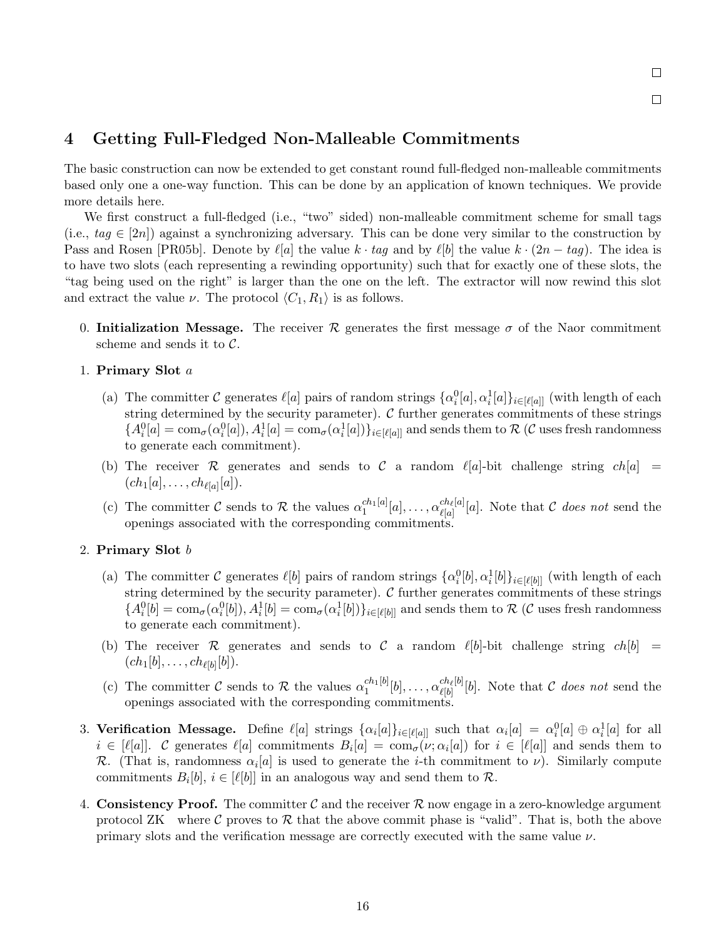# 4 Getting Full-Fledged Non-Malleable Commitments

The basic construction can now be extended to get constant round full-fledged non-malleable commitments based only one a one-way function. This can be done by an application of known techniques. We provide more details here.

We first construct a full-fledged (i.e., "two" sided) non-malleable commitment scheme for small tags (i.e.,  $tag \in [2n]$ ) against a synchronizing adversary. This can be done very similar to the construction by Pass and Rosen [PR05b]. Denote by  $\ell[a]$  the value k · tag and by  $\ell[b]$  the value k ·  $(2n - taq)$ . The idea is to have two slots (each representing a rewinding opportunity) such that for exactly one of these slots, the "tag being used on the right" is larger than the one on the left. The extractor will now rewind this slot and extract the value  $\nu$ . The protocol  $\langle C_1, R_1 \rangle$  is as follows.

0. Initialization Message. The receiver R generates the first message  $\sigma$  of the Naor commitment scheme and sends it to  $C$ .

### 1. Primary Slot a

- (a) The committer C generates  $\ell[a]$  pairs of random strings  $\{\alpha_i^0[a], \alpha_i^1[a]\}_{i \in [\ell[a]]}$  (with length of each string determined by the security parameter).  $C$  further generates commitments of these strings  ${A_i^0[a] = \text{com}_{\sigma}(\alpha_i^0[a]), A_i^1[a] = \text{com}_{\sigma}(\alpha_i^1[a])\}_{i \in [\ell[a]]}$  and sends them to  $\mathcal R$  (C uses fresh randomness to generate each commitment).
- (b) The receiver R generates and sends to C a random  $\ell[a]$ -bit challenge string  $ch[a] =$  $(ch_1[a], \ldots, ch_{\ell[a]}[a]).$
- (c) The committer C sends to R the values  $\alpha_1^{ch_1[a]}$  $\frac{ch_1[a]}{1}[a],\ldots,\alpha^{ch_\ell[a]}_{\ell[a]}$  $\mathcal{C}_{\ell[a]}^{cn_{\ell}[a]}[a]$ . Note that C does not send the openings associated with the corresponding commitments.

### 2. Primary Slot  $b$

- (a) The committer C generates  $\ell[b]$  pairs of random strings  $\{\alpha_i^0[b], \alpha_i^1[b]\}_{i \in [\ell[b]]}$  (with length of each string determined by the security parameter).  $C$  further generates commitments of these strings  ${A_i^0}[b] = \text{com}_{\sigma}(\alpha_i^0[b]), A_i^1[b] = \text{com}_{\sigma}(\alpha_i^1[b])\}_{i \in [\ell[b]]}$  and sends them to  $\mathcal R$  (C uses fresh randomness to generate each commitment).
- (b) The receiver R generates and sends to C a random  $\ell[b]$ -bit challenge string  $ch[b] =$  $(ch_1[b], \ldots, ch_{\ell[b]}[b]).$
- (c) The committer C sends to R the values  $\alpha_1^{ch_1[b]}$  $\frac{ch_1[b]}{1}[b],\ldots,\alpha^{ch_\ell[b]}_{\ell[b]}$  $\mathcal{C}_{\ell[b]}^{ch_{\ell}[b]}[b]$ . Note that C does not send the openings associated with the corresponding commitments.
- 3. Verification Message. Define  $\ell[a]$  strings  $\{\alpha_i[a]\}_{i\in[\ell[a]]}$  such that  $\alpha_i[a] = \alpha_i^0[a] \oplus \alpha_i^1[a]$  for all  $i \in [\ell[a]]$ . C generates  $\ell[a]$  commitments  $B_i[a] = \text{com}_{\sigma}(\nu; \alpha_i[a])$  for  $i \in [\ell[a]]$  and sends them to R. (That is, randomness  $\alpha_i[a]$  is used to generate the *i*-th commitment to  $\nu$ ). Similarly compute commitments  $B_i[b], i \in [\ell[b]]$  in an analogous way and send them to  $\mathcal{R}$ .
- 4. Consistency Proof. The committer C and the receiver R now engage in a zero-knowledge argument protocol ZK where C proves to  $\mathcal R$  that the above commit phase is "valid". That is, both the above primary slots and the verification message are correctly executed with the same value  $\nu$ .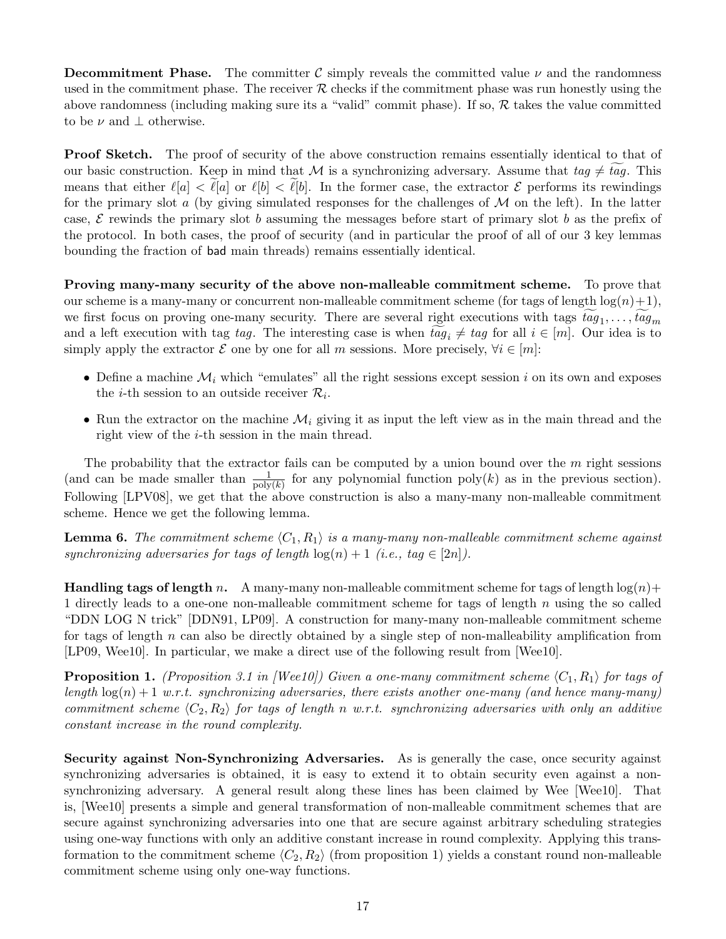**Decommitment Phase.** The committer C simply reveals the committed value  $\nu$  and the randomness used in the commitment phase. The receiver  $R$  checks if the commitment phase was run honestly using the above randomness (including making sure its a "valid" commit phase). If so,  $R$  takes the value committed to be  $\nu$  and  $\perp$  otherwise.

**Proof Sketch.** The proof of security of the above construction remains essentially identical to that of our basic construction. Keep in mind that M is a synchronizing adversary. Assume that  $taq \neq taq$ . This means that either  $\ell[a] < \ell[a]$  or  $\ell[b] < \ell[b]$ . In the former case, the extractor  $\mathcal E$  performs its rewindings for the primary slot a (by giving simulated responses for the challenges of  $\mathcal M$  on the left). In the latter case,  $\mathcal E$  rewinds the primary slot b assuming the messages before start of primary slot b as the prefix of the protocol. In both cases, the proof of security (and in particular the proof of all of our 3 key lemmas bounding the fraction of bad main threads) remains essentially identical.

Proving many-many security of the above non-malleable commitment scheme. To prove that our scheme is a many-many or concurrent non-malleable commitment scheme (for tags of length  $log(n)+1$ ), we first focus on proving one-many security. There are several right executions with tags  $tag_1, ..., tag_m$ and a left execution with tag tag. The interesting case is when  $tag_i \neq tag$  for all  $i \in [m]$ . Our idea is to simply apply the extractor  $\mathcal E$  one by one for all m sessions. More precisely,  $\forall i \in [m]$ :

- Define a machine  $\mathcal{M}_i$  which "emulates" all the right sessions except session i on its own and exposes the *i*-th session to an outside receiver  $\mathcal{R}_i$ .
- Run the extractor on the machine  $\mathcal{M}_i$  giving it as input the left view as in the main thread and the right view of the i-th session in the main thread.

The probability that the extractor fails can be computed by a union bound over the  $m$  right sessions (and can be made smaller than  $\frac{1}{\text{poly}(k)}$  for any polynomial function poly(k) as in the previous section). Following [LPV08], we get that the above construction is also a many-many non-malleable commitment scheme. Hence we get the following lemma.

**Lemma 6.** The commitment scheme  $\langle C_1, R_1 \rangle$  is a many-many non-malleable commitment scheme against synchronizing adversaries for tags of length  $log(n) + 1$  (i.e., tag  $\in [2n]$ ).

**Handling tags of length n.** A many-many non-malleable commitment scheme for tags of length  $\log(n)$ + 1 directly leads to a one-one non-malleable commitment scheme for tags of length n using the so called "DDN LOG N trick" [DDN91, LP09]. A construction for many-many non-malleable commitment scheme for tags of length  $n$  can also be directly obtained by a single step of non-malleability amplification from [LP09, Wee10]. In particular, we make a direct use of the following result from [Wee10].

**Proposition 1.** (Proposition 3.1 in [Wee10]) Given a one-many commitment scheme  $\langle C_1, R_1 \rangle$  for tags of length  $log(n) + 1$  w.r.t. synchronizing adversaries, there exists another one-many (and hence many-many) commitment scheme  $\langle C_2, R_2 \rangle$  for tags of length n w.r.t. synchronizing adversaries with only an additive constant increase in the round complexity.

Security against Non-Synchronizing Adversaries. As is generally the case, once security against synchronizing adversaries is obtained, it is easy to extend it to obtain security even against a nonsynchronizing adversary. A general result along these lines has been claimed by Wee [Wee10]. That is, [Wee10] presents a simple and general transformation of non-malleable commitment schemes that are secure against synchronizing adversaries into one that are secure against arbitrary scheduling strategies using one-way functions with only an additive constant increase in round complexity. Applying this transformation to the commitment scheme  $\langle C_2, R_2 \rangle$  (from proposition 1) yields a constant round non-malleable commitment scheme using only one-way functions.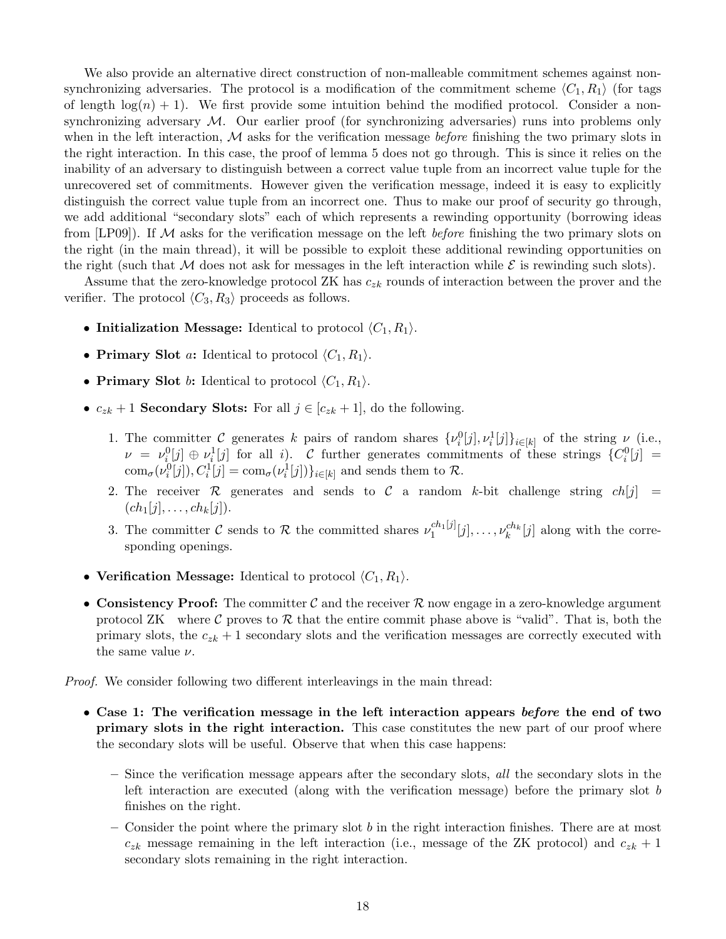We also provide an alternative direct construction of non-malleable commitment schemes against nonsynchronizing adversaries. The protocol is a modification of the commitment scheme  $\langle C_1, R_1 \rangle$  (for tags of length  $log(n) + 1$ . We first provide some intuition behind the modified protocol. Consider a nonsynchronizing adversary  $\mathcal{M}$ . Our earlier proof (for synchronizing adversaries) runs into problems only when in the left interaction,  $M$  asks for the verification message *before* finishing the two primary slots in the right interaction. In this case, the proof of lemma 5 does not go through. This is since it relies on the inability of an adversary to distinguish between a correct value tuple from an incorrect value tuple for the unrecovered set of commitments. However given the verification message, indeed it is easy to explicitly distinguish the correct value tuple from an incorrect one. Thus to make our proof of security go through, we add additional "secondary slots" each of which represents a rewinding opportunity (borrowing ideas from [LP09]). If M asks for the verification message on the left *before* finishing the two primary slots on the right (in the main thread), it will be possible to exploit these additional rewinding opportunities on the right (such that M does not ask for messages in the left interaction while  $\mathcal E$  is rewinding such slots).

Assume that the zero-knowledge protocol ZK has  $c_{zk}$  rounds of interaction between the prover and the verifier. The protocol  $\langle C_3, R_3 \rangle$  proceeds as follows.

- Initialization Message: Identical to protocol  $\langle C_1, R_1 \rangle$ .
- Primary Slot *a*: Identical to protocol  $\langle C_1, R_1 \rangle$ .
- Primary Slot b: Identical to protocol  $\langle C_1, R_1 \rangle$ .
- $c_{zk} + 1$  Secondary Slots: For all  $j \in [c_{zk} + 1]$ , do the following.
	- 1. The committer C generates k pairs of random shares  $\{\nu_i^0[j], \nu_i^1[j]\}_{i\in[k]}$  of the string  $\nu$  (i.e.,  $\nu = \nu_i^0[j] \oplus \nu_i^1[j]$  for all i). C further generates commitments of these strings  $\{C_i^0[j] =$  $\text{com}_{\sigma}(\nu_i^0[j]), C_i^1[j] = \text{com}_{\sigma}(\nu_i^1[j])\}_{i \in [k]}$  and sends them to  $\mathcal{R}$ .
	- 2. The receiver R generates and sends to C a random k-bit challenge string  $ch[j] =$  $(ch_1[j], \ldots, ch_k[j]).$
	- 3. The committer C sends to R the committed shares  $\nu_1^{ch_1[j]}$  $\binom{ch_1[j]}{1}[j], \ldots, \nu_k^{ch_k}[j]$  along with the corresponding openings.
- Verification Message: Identical to protocol  $\langle C_1, R_1 \rangle$ .
- Consistency Proof: The committer C and the receiver R now engage in a zero-knowledge argument protocol ZK where C proves to  $\mathcal R$  that the entire commit phase above is "valid". That is, both the primary slots, the  $c_{zk} + 1$  secondary slots and the verification messages are correctly executed with the same value  $\nu$ .

*Proof.* We consider following two different interleavings in the main thread:

- Case 1: The verification message in the left interaction appears before the end of two primary slots in the right interaction. This case constitutes the new part of our proof where the secondary slots will be useful. Observe that when this case happens:
	- $-$  Since the verification message appears after the secondary slots, all the secondary slots in the left interaction are executed (along with the verification message) before the primary slot b finishes on the right.
	- $-$  Consider the point where the primary slot b in the right interaction finishes. There are at most  $c_{zk}$  message remaining in the left interaction (i.e., message of the ZK protocol) and  $c_{zk} + 1$ secondary slots remaining in the right interaction.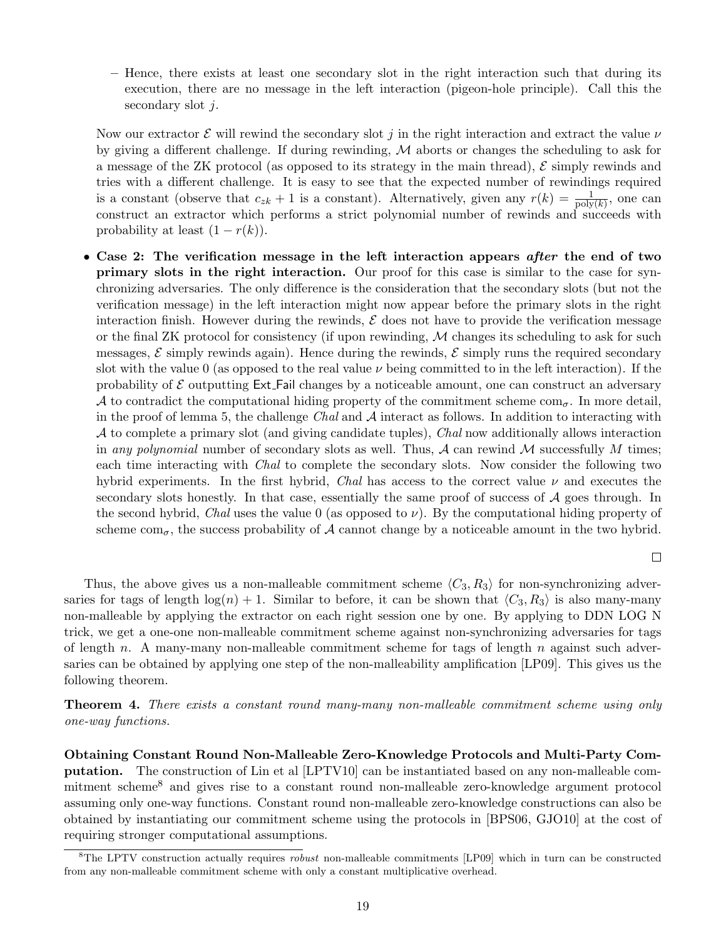– Hence, there exists at least one secondary slot in the right interaction such that during its execution, there are no message in the left interaction (pigeon-hole principle). Call this the secondary slot j.

Now our extractor  $\mathcal E$  will rewind the secondary slot j in the right interaction and extract the value  $\nu$ by giving a different challenge. If during rewinding,  $M$  aborts or changes the scheduling to ask for a message of the ZK protocol (as opposed to its strategy in the main thread),  $\mathcal E$  simply rewinds and tries with a different challenge. It is easy to see that the expected number of rewindings required is a constant (observe that  $c_{zk} + 1$  is a constant). Alternatively, given any  $r(k) = \frac{1}{poly(k)}$ , one can construct an extractor which performs a strict polynomial number of rewinds and succeeds with probability at least  $(1 - r(k))$ .

• Case 2: The verification message in the left interaction appears *after* the end of two primary slots in the right interaction. Our proof for this case is similar to the case for synchronizing adversaries. The only difference is the consideration that the secondary slots (but not the verification message) in the left interaction might now appear before the primary slots in the right interaction finish. However during the rewinds,  $\mathcal E$  does not have to provide the verification message or the final ZK protocol for consistency (if upon rewinding,  $M$  changes its scheduling to ask for such messages,  $\mathcal E$  simply rewinds again). Hence during the rewinds,  $\mathcal E$  simply runs the required secondary slot with the value 0 (as opposed to the real value  $\nu$  being committed to in the left interaction). If the probability of  $\mathcal E$  outputting Ext. Fail changes by a noticeable amount, one can construct an adversary A to contradict the computational hiding property of the commitment scheme  $com_{\sigma}$ . In more detail, in the proof of lemma 5, the challenge Chal and  $A$  interact as follows. In addition to interacting with A to complete a primary slot (and giving candidate tuples), Chal now additionally allows interaction in any polynomial number of secondary slots as well. Thus,  $A$  can rewind  $M$  successfully  $M$  times; each time interacting with *Chal* to complete the secondary slots. Now consider the following two hybrid experiments. In the first hybrid, Chal has access to the correct value  $\nu$  and executes the secondary slots honestly. In that case, essentially the same proof of success of  $A$  goes through. In the second hybrid, Chal uses the value 0 (as opposed to  $\nu$ ). By the computational hiding property of scheme com<sub> $\sigma$ </sub>, the success probability of A cannot change by a noticeable amount in the two hybrid.

 $\Box$ 

Thus, the above gives us a non-malleable commitment scheme  $\langle C_3, R_3 \rangle$  for non-synchronizing adversaries for tags of length  $log(n) + 1$ . Similar to before, it can be shown that  $\langle C_3, R_3 \rangle$  is also many-many non-malleable by applying the extractor on each right session one by one. By applying to DDN LOG N trick, we get a one-one non-malleable commitment scheme against non-synchronizing adversaries for tags of length n. A many-many non-malleable commitment scheme for tags of length n against such adversaries can be obtained by applying one step of the non-malleability amplification [LP09]. This gives us the following theorem.

Theorem 4. There exists a constant round many-many non-malleable commitment scheme using only one-way functions.

Obtaining Constant Round Non-Malleable Zero-Knowledge Protocols and Multi-Party Computation. The construction of Lin et al [LPTV10] can be instantiated based on any non-malleable commitment scheme<sup>8</sup> and gives rise to a constant round non-malleable zero-knowledge argument protocol assuming only one-way functions. Constant round non-malleable zero-knowledge constructions can also be obtained by instantiating our commitment scheme using the protocols in [BPS06, GJO10] at the cost of requiring stronger computational assumptions.

 ${}^8$ The LPTV construction actually requires *robust* non-malleable commitments [LP09] which in turn can be constructed from any non-malleable commitment scheme with only a constant multiplicative overhead.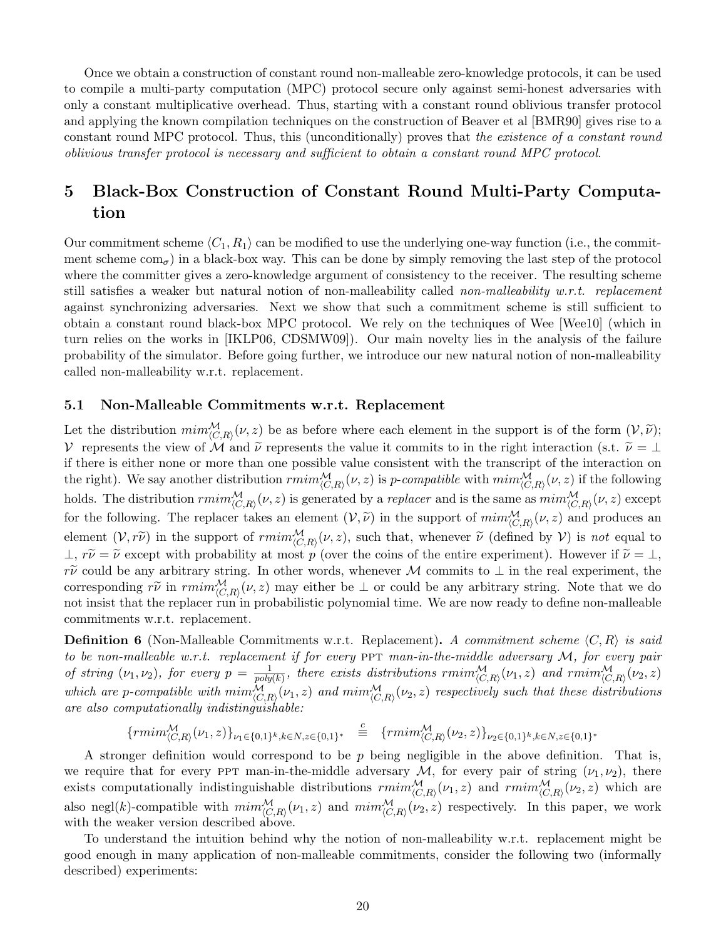Once we obtain a construction of constant round non-malleable zero-knowledge protocols, it can be used to compile a multi-party computation (MPC) protocol secure only against semi-honest adversaries with only a constant multiplicative overhead. Thus, starting with a constant round oblivious transfer protocol and applying the known compilation techniques on the construction of Beaver et al [BMR90] gives rise to a constant round MPC protocol. Thus, this (unconditionally) proves that the existence of a constant round oblivious transfer protocol is necessary and sufficient to obtain a constant round MPC protocol.

# 5 Black-Box Construction of Constant Round Multi-Party Computation

Our commitment scheme  $\langle C_1, R_1 \rangle$  can be modified to use the underlying one-way function (i.e., the commitment scheme  $com_{\sigma}$ ) in a black-box way. This can be done by simply removing the last step of the protocol where the committer gives a zero-knowledge argument of consistency to the receiver. The resulting scheme still satisfies a weaker but natural notion of non-malleability called non-malleability w.r.t. replacement against synchronizing adversaries. Next we show that such a commitment scheme is still sufficient to obtain a constant round black-box MPC protocol. We rely on the techniques of Wee [Wee10] (which in turn relies on the works in [IKLP06, CDSMW09]). Our main novelty lies in the analysis of the failure probability of the simulator. Before going further, we introduce our new natural notion of non-malleability called non-malleability w.r.t. replacement.

### 5.1 Non-Malleable Commitments w.r.t. Replacement

Let the distribution  $\min_{(C,R)}^{M}(\nu, z)$  be as before where each element in the support is of the form  $(\nu, \tilde{\nu})$ ; V represents the view of M and  $\tilde{\nu}$  represents the value it commits to in the right interaction (s.t.  $\tilde{\nu} = \perp$ if there is either none or more than one possible value consistent with the transcript of the interaction on the right). We say another distribution  $\text{rmin}_{(C,R)}^{\mathcal{M}}(\nu, z)$  is p-compatible with  $\text{min}_{(C,R)}^{\mathcal{M}}(\nu, z)$  if the following holds. The distribution  $\text{rmin}_{(C,R)}^{\mathcal{M}}(\nu, z)$  is generated by a *replacer* and is the same as  $\text{min}_{(C,R)}^{\mathcal{M}}(\nu, z)$  except for the following. The replacer takes an element  $(V, \tilde{\nu})$  in the support of  $\min_{(C,R)}^{\mathcal{M}}(\nu, z)$  and produces an element  $(V, r\tilde{\nu})$  in the support of  $\text{rmin}_{(C,R)}^{\mathcal{M}}(\nu, z)$ , such that, whenever  $\tilde{\nu}$  (defined by  $V$ ) is not equal to  $\perp$ ,  $r\tilde{\nu} = \tilde{\nu}$  except with probability at most p (over the coins of the entire experiment). However if  $\tilde{\nu} = \perp$ , r $\tilde{\nu}$  could be any arbitrary string. In other words, whenever M commits to  $\perp$  in the real experiment, the corresponding  $r\widetilde{\nu}$  in  $rmin_{(C,R)}^{\mathcal{M}}(\nu, z)$  may either be  $\bot$  or could be any arbitrary string. Note that we do not insist that the replacer run in probabilistic polynomial time. We are now ready to define non-malleable commitments w.r.t. replacement.

**Definition 6** (Non-Malleable Commitments w.r.t. Replacement). A commitment scheme  $\langle C, R \rangle$  is said to be non-malleable w.r.t. replacement if for every  $PPT$  man-in-the-middle adversary  $\mathcal{M}$ , for every pair of string  $(\nu_1, \nu_2)$ , for every  $p = \frac{1}{\text{poly}}$  $\frac{1}{poly(k)}$ , there exists distributions  $\text{rmin}_{\langle C,R \rangle}^{\mathcal{M}}(\nu_1, z)$  and  $\text{rmin}_{\langle C,R \rangle}^{\mathcal{M}}(\nu_2, z)$ which are p-compatible with  $\min_{(C,R)}^{M}(\nu_1,z)$  and  $\min_{(C,R)}^{M}(\nu_2,z)$  respectively such that these distributions are also computationally indistinguishable:

$$
\{rmin_{\langle C,R \rangle}^{\mathcal{M}}(\nu_1,z)\}_{\nu_1 \in \{0,1\}^k, k \in \mathbb{N}, z \in \{0,1\}^*} \stackrel{c}{\equiv} \{rmin_{\langle C,R \rangle}^{\mathcal{M}}(\nu_2,z)\}_{\nu_2 \in \{0,1\}^k, k \in \mathbb{N}, z \in \{0,1\}^*}
$$

A stronger definition would correspond to be  $p$  being negligible in the above definition. That is, we require that for every ppt man-in-the-middle adversary M, for every pair of string  $(\nu_1, \nu_2)$ , there exists computationally indistinguishable distributions  $\textit{rmin}_{(C,R)}^{\mathcal{M}}(\nu_1, z)$  and  $\textit{rmin}_{(C,R)}^{\mathcal{M}}(\nu_2, z)$  which are also negl(k)-compatible with  $\min_{(C,R)}^{\mathcal{M}}(\nu_1,z)$  and  $\min_{(C,R)}^{\mathcal{M}}(\nu_2,z)$  respectively. In this paper, we work with the weaker version described above.

To understand the intuition behind why the notion of non-malleability w.r.t. replacement might be good enough in many application of non-malleable commitments, consider the following two (informally described) experiments: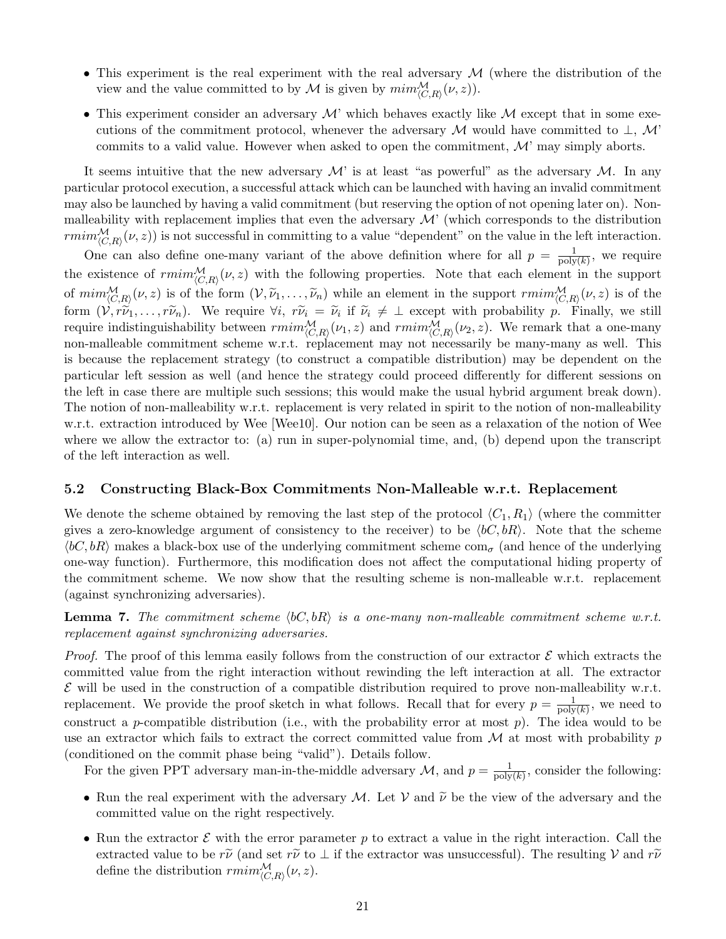- This experiment is the real experiment with the real adversary  $\mathcal M$  (where the distribution of the view and the value committed to by  $\mathcal M$  is given by  $\min_{\langle C,R \rangle}^{\mathcal M}(\nu,z)$ .
- This experiment consider an adversary  $\mathcal M$ ' which behaves exactly like  $\mathcal M$  except that in some executions of the commitment protocol, whenever the adversary M would have committed to  $\perp$ , M' commits to a valid value. However when asked to open the commitment,  $\mathcal{M}'$  may simply aborts.

It seems intuitive that the new adversary  $\mathcal{M}'$  is at least "as powerful" as the adversary  $\mathcal{M}$ . In any particular protocol execution, a successful attack which can be launched with having an invalid commitment may also be launched by having a valid commitment (but reserving the option of not opening later on). Nonmalleability with replacement implies that even the adversary  $\mathcal{M}'$  (which corresponds to the distribution  $rmin_{(C,R)}^{\mathcal{M}}(\nu, z)$  is not successful in committing to a value "dependent" on the value in the left interaction.

One can also define one-many variant of the above definition where for all  $p = \frac{1}{\text{poly}}$  $\frac{1}{\text{poly}(k)}$ , we require the existence of  $rmin_{(C,R)}^{\mathcal{M}}(\nu, z)$  with the following properties. Note that each element in the support of  $\min_{(C,R)}^{\mathcal{M}}(\nu, z)$  is of the form  $(\mathcal{V}, \tilde{\nu}_1, \ldots, \tilde{\nu}_n)$  while an element in the support  $\min_{(C,R)}^{\mathcal{M}}(\nu, z)$  is of the form  $(\mathcal{V}, r\tilde{\nu}_1, \ldots, r\tilde{\nu}_n)$ . We require  $\forall i$ ,  $r\tilde{\nu}_i = \tilde{\nu}_i$  if  $\tilde{\nu}_i \neq \bot$  except with probability  $p$ . Finally, we still require indistinguishability between  $rmin_{\langle C,R \rangle}^{\mathcal{M}}(\nu_1, z)$  and  $rmin_{\langle C,R \rangle}^{\math$ non-malleable commitment scheme w.r.t. replacement may not necessarily be many-many as well. This is because the replacement strategy (to construct a compatible distribution) may be dependent on the particular left session as well (and hence the strategy could proceed differently for different sessions on the left in case there are multiple such sessions; this would make the usual hybrid argument break down). The notion of non-malleability w.r.t. replacement is very related in spirit to the notion of non-malleability w.r.t. extraction introduced by Wee [Wee10]. Our notion can be seen as a relaxation of the notion of Wee where we allow the extractor to: (a) run in super-polynomial time, and, (b) depend upon the transcript of the left interaction as well.

### 5.2 Constructing Black-Box Commitments Non-Malleable w.r.t. Replacement

We denote the scheme obtained by removing the last step of the protocol  $\langle C_1, R_1 \rangle$  (where the committer gives a zero-knowledge argument of consistency to the receiver) to be  $\langle bC, bR \rangle$ . Note that the scheme  $\langle bC, bR \rangle$  makes a black-box use of the underlying commitment scheme com<sub>σ</sub> (and hence of the underlying one-way function). Furthermore, this modification does not affect the computational hiding property of the commitment scheme. We now show that the resulting scheme is non-malleable w.r.t. replacement (against synchronizing adversaries).

**Lemma 7.** The commitment scheme  $\langle bC, bR \rangle$  is a one-many non-malleable commitment scheme w.r.t. replacement against synchronizing adversaries.

*Proof.* The proof of this lemma easily follows from the construction of our extractor  $\mathcal E$  which extracts the committed value from the right interaction without rewinding the left interaction at all. The extractor  $\mathcal E$  will be used in the construction of a compatible distribution required to prove non-malleability w.r.t. replacement. We provide the proof sketch in what follows. Recall that for every  $p = \frac{1}{p_0 w}$  $\frac{1}{\text{poly}(k)}$ , we need to construct a p-compatible distribution (i.e., with the probability error at most  $p$ ). The idea would to be use an extractor which fails to extract the correct committed value from  $\mathcal M$  at most with probability p (conditioned on the commit phase being "valid"). Details follow.

For the given PPT adversary man-in-the-middle adversary  $\mathcal{M}$ , and  $p = \frac{1}{\text{poly}}$  $\frac{1}{\text{poly}(k)}$ , consider the following:

- Run the real experiment with the adversary M. Let V and  $\tilde{\nu}$  be the view of the adversary and the committed value on the right respectively.
- Run the extractor  $\mathcal E$  with the error parameter p to extract a value in the right interaction. Call the extracted value to be  $r\tilde{\nu}$  (and set  $r\tilde{\nu}$  to  $\perp$  if the extractor was unsuccessful). The resulting V and  $r\tilde{\nu}$ define the distribution  $\textit{rmin}_{\langle C,R \rangle}^{\mathcal{M}}(\nu, z)$ .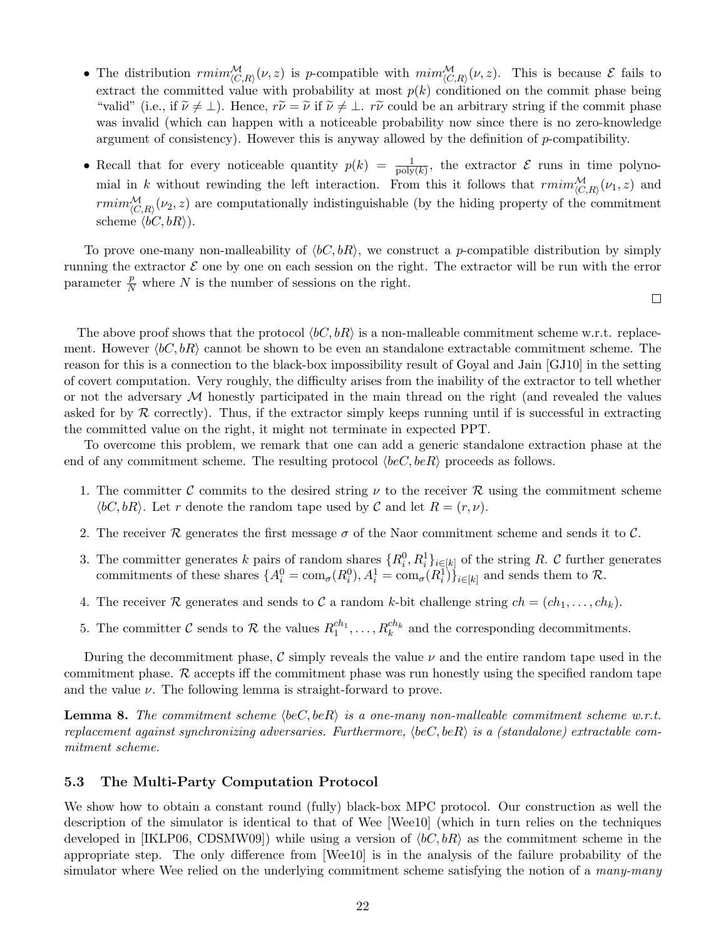- The distribution  $rmin_{(C,R)}^{\mathcal{M}}(\nu, z)$  is p-compatible with  $min_{(C,R)}^{\mathcal{M}}(\nu, z)$ . This is because  $\mathcal{E}$  fails to extract the committed value with probability at most  $p(k)$  conditioned on the commit phase being "valid" (i.e., if  $\tilde{\nu} \neq \bot$ ). Hence,  $r\tilde{\nu} = \tilde{\nu}$  if  $\tilde{\nu} \neq \bot$ .  $r\tilde{\nu}$  could be an arbitrary string if the commit phase was invalid (which can happen with a noticeable probability now since there is no zero-knowledge argument of consistency). However this is anyway allowed by the definition of p-compatibility.
- Recall that for every noticeable quantity  $p(k) = \frac{1}{\text{poly}(k)}$ , the extractor  $\mathcal E$  runs in time polynomial in k without rewinding the left interaction. From this it follows that  $\text{rmin}_{(C,R)}^{\mathcal{M}}(\nu_1, z)$  and  $rmin_{\langle C,R \rangle}^{\mathcal{M}}(\nu_2, z)$  are computationally indistinguishable (by the hiding property of the commitment scheme  $\langle bC, bR \rangle$ ).

To prove one-many non-malleability of  $\langle bC, bR \rangle$ , we construct a p-compatible distribution by simply running the extractor  $\mathcal E$  one by one on each session on the right. The extractor will be run with the error parameter  $\frac{p}{N}$  where N is the number of sessions on the right.

 $\Box$ 

The above proof shows that the protocol  $\langle bC, bR \rangle$  is a non-malleable commitment scheme w.r.t. replacement. However  $\langle bC, bR \rangle$  cannot be shown to be even an standalone extractable commitment scheme. The reason for this is a connection to the black-box impossibility result of Goyal and Jain [GJ10] in the setting of covert computation. Very roughly, the difficulty arises from the inability of the extractor to tell whether or not the adversary  $\mathcal M$  honestly participated in the main thread on the right (and revealed the values asked for by  $\mathcal R$  correctly). Thus, if the extractor simply keeps running until if is successful in extracting the committed value on the right, it might not terminate in expected PPT.

To overcome this problem, we remark that one can add a generic standalone extraction phase at the end of any commitment scheme. The resulting protocol  $\langle beC, beR \rangle$  proceeds as follows.

- 1. The committer C commits to the desired string  $\nu$  to the receiver R using the commitment scheme  $\langle bC, bR \rangle$ . Let r denote the random tape used by C and let  $R = (r, \nu)$ .
- 2. The receiver R generates the first message  $\sigma$  of the Naor commitment scheme and sends it to C.
- 3. The committer generates k pairs of random shares  $\{R_i^0, R_i^1\}_{i \in [k]}$  of the string R. C further generates commitments of these shares  $\{A_i^0 = \text{com}_{\sigma}(R_i^0), A_i^1 = \text{com}_{\sigma}(R_i^1)\}_{i \in [k]}$  and sends them to  $\mathcal{R}$ .
- 4. The receiver R generates and sends to C a random k-bit challenge string  $ch = (ch_1, \ldots, ch_k)$ .
- 5. The committer C sends to R the values  $R_1^{ch_1}, \ldots, R_k^{ch_k}$  and the corresponding decommitments.

During the decommitment phase,  $\mathcal C$  simply reveals the value  $\nu$  and the entire random tape used in the commitment phase.  $\mathcal R$  accepts iff the commitment phase was run honestly using the specified random tape and the value  $\nu$ . The following lemma is straight-forward to prove.

**Lemma 8.** The commitment scheme  $\langle beC, beR \rangle$  is a one-many non-malleable commitment scheme w.r.t. replacement against synchronizing adversaries. Furthermore,  $\langle beC, beR \rangle$  is a (standalone) extractable commitment scheme.

### 5.3 The Multi-Party Computation Protocol

We show how to obtain a constant round (fully) black-box MPC protocol. Our construction as well the description of the simulator is identical to that of Wee [Wee10] (which in turn relies on the techniques developed in [IKLP06, CDSMW09]) while using a version of  $\langle bC, bR \rangle$  as the commitment scheme in the appropriate step. The only difference from [Wee10] is in the analysis of the failure probability of the simulator where Wee relied on the underlying commitment scheme satisfying the notion of a *many-many*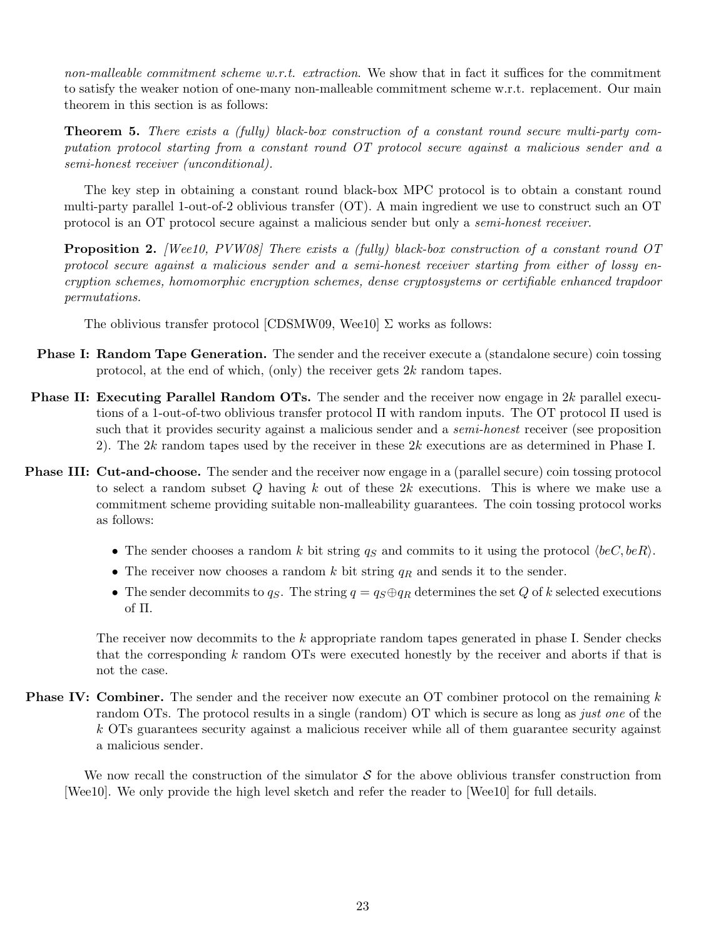non-malleable commitment scheme  $w.r.t.$  extraction. We show that in fact it suffices for the commitment to satisfy the weaker notion of one-many non-malleable commitment scheme w.r.t. replacement. Our main theorem in this section is as follows:

Theorem 5. There exists a (fully) black-box construction of a constant round secure multi-party computation protocol starting from a constant round OT protocol secure against a malicious sender and a semi-honest receiver (unconditional).

The key step in obtaining a constant round black-box MPC protocol is to obtain a constant round multi-party parallel 1-out-of-2 oblivious transfer (OT). A main ingredient we use to construct such an OT protocol is an OT protocol secure against a malicious sender but only a semi-honest receiver.

**Proposition 2.** [Wee10, PVW08] There exists a (fully) black-box construction of a constant round OT protocol secure against a malicious sender and a semi-honest receiver starting from either of lossy encryption schemes, homomorphic encryption schemes, dense cryptosystems or certifiable enhanced trapdoor permutations.

The oblivious transfer protocol [CDSMW09, Wee10]  $\Sigma$  works as follows:

- **Phase I: Random Tape Generation.** The sender and the receiver execute a (standalone secure) coin tossing protocol, at the end of which, (only) the receiver gets  $2k$  random tapes.
- Phase II: Executing Parallel Random OTs. The sender and the receiver now engage in 2k parallel executions of a 1-out-of-two oblivious transfer protocol Π with random inputs. The OT protocol Π used is such that it provides security against a malicious sender and a *semi-honest* receiver (see proposition 2). The 2k random tapes used by the receiver in these 2k executions are as determined in Phase I.
- **Phase III: Cut-and-choose.** The sender and the receiver now engage in a (parallel secure) coin tossing protocol to select a random subset  $Q$  having  $k$  out of these  $2k$  executions. This is where we make use a commitment scheme providing suitable non-malleability guarantees. The coin tossing protocol works as follows:
	- The sender chooses a random k bit string  $q_S$  and commits to it using the protocol  $\langle beC, beR\rangle$ .
	- The receiver now chooses a random k bit string  $q_R$  and sends it to the sender.
	- The sender decommits to  $q_S$ . The string  $q = q_S \oplus q_R$  determines the set Q of k selected executions of Π.

The receiver now decommits to the k appropriate random tapes generated in phase I. Sender checks that the corresponding k random OTs were executed honestly by the receiver and aborts if that is not the case.

**Phase IV: Combiner.** The sender and the receiver now execute an OT combiner protocol on the remaining  $k$ random OTs. The protocol results in a single (random) OT which is secure as long as just one of the k OTs guarantees security against a malicious receiver while all of them guarantee security against a malicious sender.

We now recall the construction of the simulator  $\mathcal S$  for the above oblivious transfer construction from [Wee10]. We only provide the high level sketch and refer the reader to [Wee10] for full details.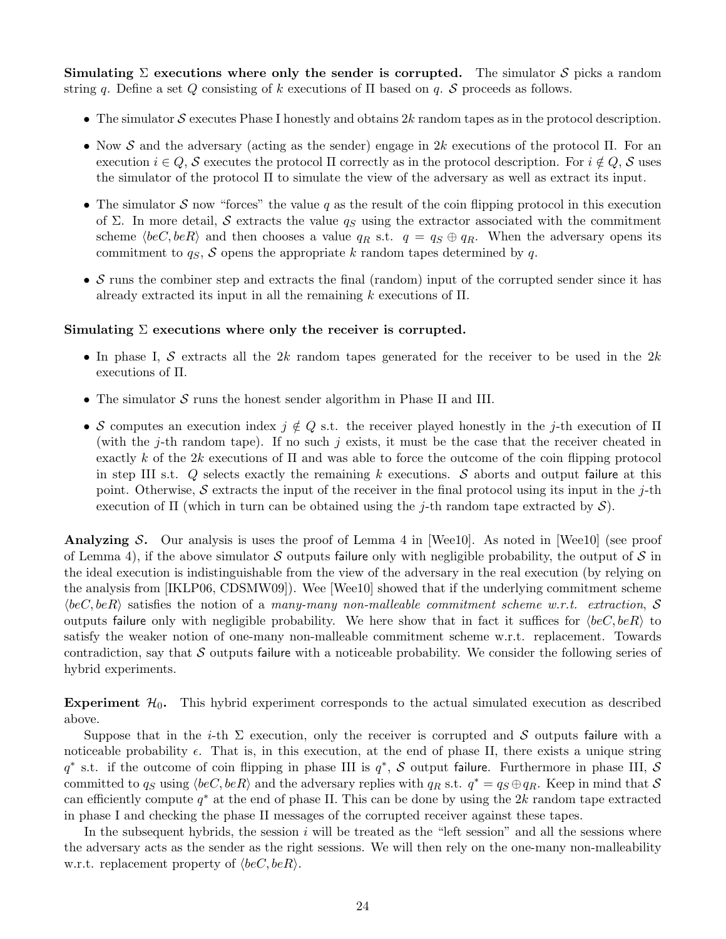Simulating  $\Sigma$  executions where only the sender is corrupted. The simulator S picks a random string q. Define a set Q consisting of k executions of  $\Pi$  based on q. S proceeds as follows.

- The simulator  $S$  executes Phase I honestly and obtains  $2k$  random tapes as in the protocol description.
- Now S and the adversary (acting as the sender) engage in 2k executions of the protocol  $\Pi$ . For an execution  $i \in Q$ , S executes the protocol  $\Pi$  correctly as in the protocol description. For  $i \notin Q$ , S uses the simulator of the protocol Π to simulate the view of the adversary as well as extract its input.
- The simulator S now "forces" the value q as the result of the coin flipping protocol in this execution of Σ. In more detail, S extracts the value  $q_S$  using the extractor associated with the commitment scheme  $\langle beC, beR\rangle$  and then chooses a value  $q_R$  s.t.  $q = q_S \oplus q_R$ . When the adversary opens its commitment to  $q_S$ , S opens the appropriate k random tapes determined by q.
- S runs the combiner step and extracts the final (random) input of the corrupted sender since it has already extracted its input in all the remaining  $k$  executions of  $\Pi$ .

#### Simulating  $\Sigma$  executions where only the receiver is corrupted.

- In phase I, S extracts all the 2k random tapes generated for the receiver to be used in the 2k executions of Π.
- The simulator  $S$  runs the honest sender algorithm in Phase II and III.
- S computes an execution index  $j \notin Q$  s.t. the receiver played honestly in the j-th execution of  $\Pi$ (with the j-th random tape). If no such j exists, it must be the case that the receiver cheated in exactly k of the 2k executions of  $\Pi$  and was able to force the outcome of the coin flipping protocol in step III s.t.  $Q$  selects exactly the remaining k executions. S aborts and output failure at this point. Otherwise, S extracts the input of the receiver in the final protocol using its input in the j-th execution of  $\Pi$  (which in turn can be obtained using the j-th random tape extracted by  $\mathcal{S}$ ).

**Analyzing S.** Our analysis is uses the proof of Lemma 4 in [Wee10]. As noted in [Wee10] (see proof of Lemma 4), if the above simulator S outputs failure only with negligible probability, the output of S in the ideal execution is indistinguishable from the view of the adversary in the real execution (by relying on the analysis from [IKLP06, CDSMW09]). Wee [Wee10] showed that if the underlying commitment scheme  $\langle beC, beR \rangle$  satisfies the notion of a many-many non-malleable commitment scheme w.r.t. extraction, S outputs failure only with negligible probability. We here show that in fact it suffices for  $\langle beC, beR \rangle$  to satisfy the weaker notion of one-many non-malleable commitment scheme w.r.t. replacement. Towards contradiction, say that  $S$  outputs failure with a noticeable probability. We consider the following series of hybrid experiments.

Experiment  $\mathcal{H}_0$ . This hybrid experiment corresponds to the actual simulated execution as described above.

Suppose that in the *i*-th  $\Sigma$  execution, only the receiver is corrupted and S outputs failure with a noticeable probability  $\epsilon$ . That is, in this execution, at the end of phase II, there exists a unique string  $q^*$  s.t. if the outcome of coin flipping in phase III is  $q^*$ , S output failure. Furthermore in phase III, S committed to  $q_S$  using  $\langle beC, beR\rangle$  and the adversary replies with  $q_R$  s.t.  $q^* = q_S \oplus q_R$ . Keep in mind that S can efficiently compute  $q^*$  at the end of phase II. This can be done by using the 2k random tape extracted in phase I and checking the phase II messages of the corrupted receiver against these tapes.

In the subsequent hybrids, the session  $i$  will be treated as the "left session" and all the sessions where the adversary acts as the sender as the right sessions. We will then rely on the one-many non-malleability w.r.t. replacement property of  $\langle beC, beR \rangle$ .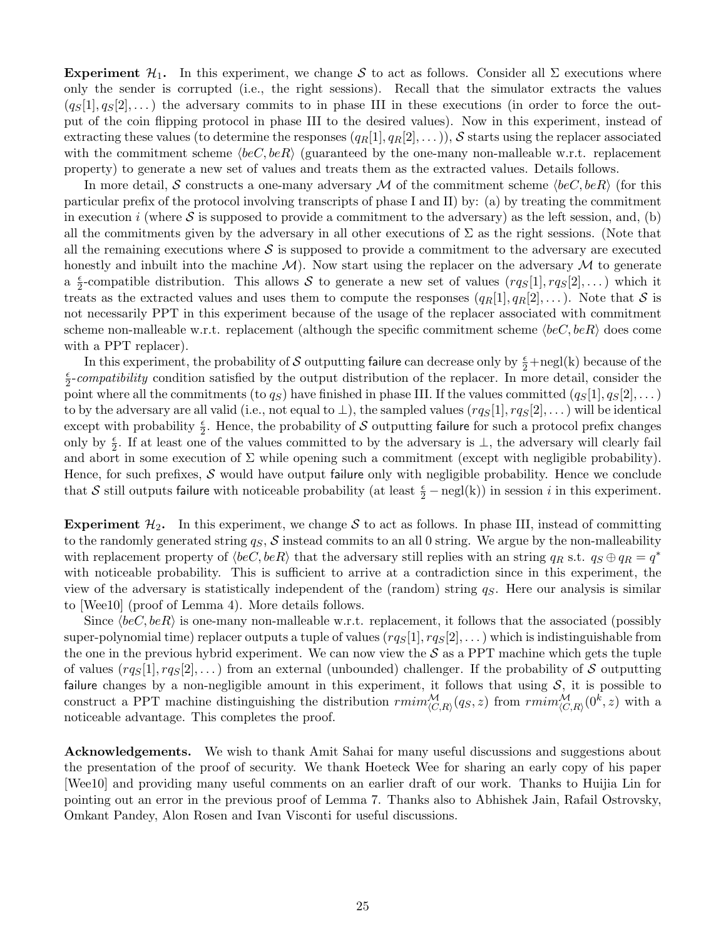Experiment  $\mathcal{H}_1$ . In this experiment, we change S to act as follows. Consider all  $\Sigma$  executions where only the sender is corrupted (i.e., the right sessions). Recall that the simulator extracts the values  $(q_S[1], q_S[2], \dots)$  the adversary commits to in phase III in these executions (in order to force the output of the coin flipping protocol in phase III to the desired values). Now in this experiment, instead of extracting these values (to determine the responses  $(q_R[1], q_R[2], \ldots)$ ), S starts using the replacer associated with the commitment scheme  $\langle beC, beR\rangle$  (guaranteed by the one-many non-malleable w.r.t. replacement property) to generate a new set of values and treats them as the extracted values. Details follows.

In more detail, S constructs a one-many adversary M of the commitment scheme  $\langle beC, beR\rangle$  (for this particular prefix of the protocol involving transcripts of phase I and II) by: (a) by treating the commitment in execution i (where  $S$  is supposed to provide a commitment to the adversary) as the left session, and, (b) all the commitments given by the adversary in all other executions of  $\Sigma$  as the right sessions. (Note that all the remaining executions where  $\mathcal S$  is supposed to provide a commitment to the adversary are executed honestly and inbuilt into the machine  $M$ ). Now start using the replacer on the adversary  $M$  to generate  $a \frac{\epsilon}{2}$  $\frac{\epsilon}{2}$ -compatible distribution. This allows S to generate a new set of values  $(rgs[1], rgs[2],...)$  which it treats as the extracted values and uses them to compute the responses  $(q_R[1], q_R[2], \dots)$ . Note that S is not necessarily PPT in this experiment because of the usage of the replacer associated with commitment scheme non-malleable w.r.t. replacement (although the specific commitment scheme  $\langle beC, beR\rangle$  does come with a PPT replacer).

In this experiment, the probability of  $\mathcal S$  outputting failure can decrease only by  $\frac{\epsilon}{2} + \text{negl(k)}$  because of the  $\epsilon$  $\frac{\epsilon}{2}$ -compatibility condition satisfied by the output distribution of the replacer. In more detail, consider the point where all the commitments (to  $q_S$ ) have finished in phase III. If the values committed  $(q_S[1], q_S[2], \dots)$ to by the adversary are all valid (i.e., not equal to  $\perp$ ), the sampled values  $(rgs[1], rgs[2], ...)$  will be identical except with probability  $\frac{\epsilon}{2}$ . Hence, the probability of S outputting failure for such a protocol prefix changes only by  $\frac{\epsilon}{2}$ . If at least one of the values committed to by the adversary is  $\perp$ , the adversary will clearly fail and abort in some execution of  $\Sigma$  while opening such a commitment (except with negligible probability). Hence, for such prefixes,  $S$  would have output failure only with negligible probability. Hence we conclude that S still outputs failure with noticeable probability (at least  $\frac{\epsilon}{2} - \text{negl}(k)$ ) in session *i* in this experiment.

**Experiment**  $\mathcal{H}_2$ . In this experiment, we change S to act as follows. In phase III, instead of committing to the randomly generated string  $q_S$ , S instead commits to an all 0 string. We argue by the non-malleability with replacement property of  $\langle beC, beR\rangle$  that the adversary still replies with an string  $q_R$  s.t.  $q_S \oplus q_R = q^*$ with noticeable probability. This is sufficient to arrive at a contradiction since in this experiment, the view of the adversary is statistically independent of the (random) string  $q<sub>S</sub>$ . Here our analysis is similar to [Wee10] (proof of Lemma 4). More details follows.

Since  $\langle beC, beR \rangle$  is one-many non-malleable w.r.t. replacement, it follows that the associated (possibly super-polynomial time) replacer outputs a tuple of values  $(rg_S[1], rg_S[2],...)$  which is indistinguishable from the one in the previous hybrid experiment. We can now view the  $S$  as a PPT machine which gets the tuple of values  $(rqs[1], rg_{S}[2],...)$  from an external (unbounded) challenger. If the probability of S outputting failure changes by a non-negligible amount in this experiment, it follows that using  $S$ , it is possible to construct a PPT machine distinguishing the distribution  $\text{rmin}_{(C,R)}^{\mathcal{M}}(q_S, z)$  from  $\text{rmin}_{(C,R)}^{\mathcal{M}}(0^k, z)$  with a noticeable advantage. This completes the proof.

Acknowledgements. We wish to thank Amit Sahai for many useful discussions and suggestions about the presentation of the proof of security. We thank Hoeteck Wee for sharing an early copy of his paper [Wee10] and providing many useful comments on an earlier draft of our work. Thanks to Huijia Lin for pointing out an error in the previous proof of Lemma 7. Thanks also to Abhishek Jain, Rafail Ostrovsky, Omkant Pandey, Alon Rosen and Ivan Visconti for useful discussions.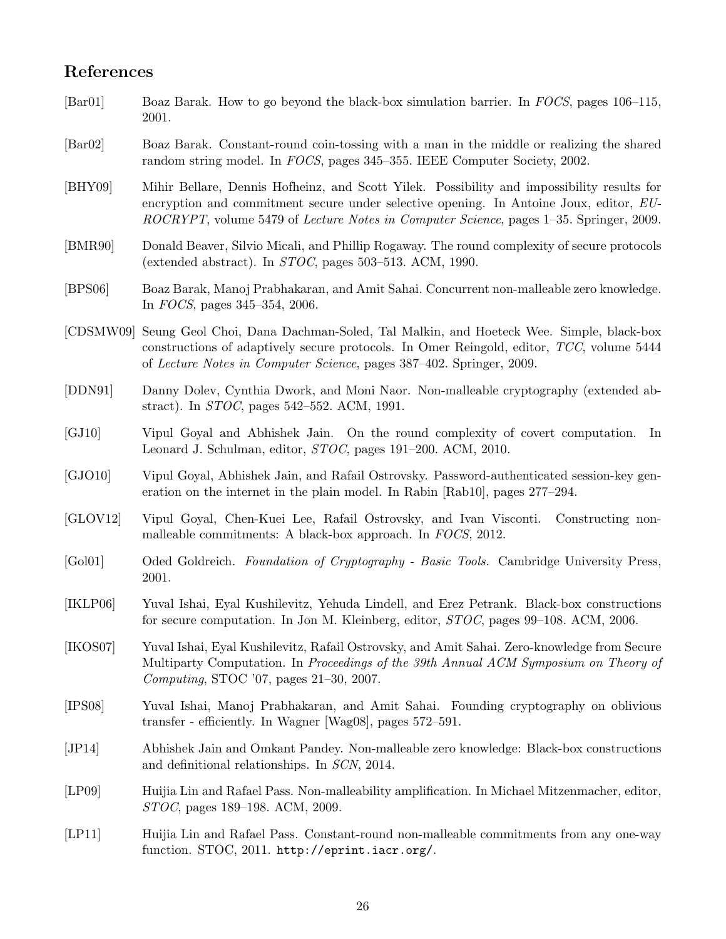# References

| $\left[\text{Bar}01\right]$ | Boaz Barak. How to go beyond the black-box simulation barrier. In FOCS, pages 106–115,<br>2001.                                                                                                                                                                                                |
|-----------------------------|------------------------------------------------------------------------------------------------------------------------------------------------------------------------------------------------------------------------------------------------------------------------------------------------|
| $\left[\text{Bar}02\right]$ | Boaz Barak. Constant-round coin-tossing with a man in the middle or realizing the shared<br>random string model. In FOCS, pages 345-355. IEEE Computer Society, 2002.                                                                                                                          |
| [BHY09]                     | Mihir Bellare, Dennis Hofheinz, and Scott Yilek. Possibility and impossibility results for<br>encryption and commitment secure under selective opening. In Antoine Joux, editor, EU-<br><i>ROCRYPT</i> , volume 5479 of <i>Lecture Notes in Computer Science</i> , pages 1–35. Springer, 2009. |
| [BMR90]                     | Donald Beaver, Silvio Micali, and Phillip Rogaway. The round complexity of secure protocols<br>(extended abstract). In $STOC$ , pages 503–513. ACM, 1990.                                                                                                                                      |
| [BPS06]                     | Boaz Barak, Manoj Prabhakaran, and Amit Sahai. Concurrent non-malleable zero knowledge.<br>In FOCS, pages 345-354, 2006.                                                                                                                                                                       |
| [CDSMW09]                   | Seung Geol Choi, Dana Dachman-Soled, Tal Malkin, and Hoeteck Wee. Simple, black-box<br>constructions of adaptively secure protocols. In Omer Reingold, editor, TCC, volume 5444<br>of Lecture Notes in Computer Science, pages 387-402. Springer, 2009.                                        |
| [DDN91]                     | Danny Dolev, Cynthia Dwork, and Moni Naor. Non-malleable cryptography (extended ab-<br>stract). In <i>STOC</i> , pages $542-552$ . ACM, 1991.                                                                                                                                                  |
| [GJ10]                      | Vipul Goyal and Abhishek Jain. On the round complexity of covert computation.<br>In<br>Leonard J. Schulman, editor, <i>STOC</i> , pages 191–200. ACM, 2010.                                                                                                                                    |
| [GJO10]                     | Vipul Goyal, Abhishek Jain, and Rafail Ostrovsky. Password-authenticated session-key gen-<br>eration on the internet in the plain model. In Rabin [Rab10], pages 277–294.                                                                                                                      |
| [GLOV12]                    | Vipul Goyal, Chen-Kuei Lee, Rafail Ostrovsky, and Ivan Visconti. Constructing non-<br>malleable commitments: A black-box approach. In FOCS, 2012.                                                                                                                                              |
| [Gol01]                     | Oded Goldreich. Foundation of Cryptography - Basic Tools. Cambridge University Press,<br>2001.                                                                                                                                                                                                 |
| [IKLP06]                    | Yuval Ishai, Eyal Kushilevitz, Yehuda Lindell, and Erez Petrank. Black-box constructions<br>for secure computation. In Jon M. Kleinberg, editor, <i>STOC</i> , pages 99–108. ACM, 2006.                                                                                                        |
| [IKOS07]                    | Yuval Ishai, Eyal Kushilevitz, Rafail Ostrovsky, and Amit Sahai. Zero-knowledge from Secure<br>Multiparty Computation. In Proceedings of the 39th Annual ACM Symposium on Theory of<br>Computing, STOC '07, pages 21-30, 2007.                                                                 |
| [IPS08]                     | Yuval Ishai, Manoj Prabhakaran, and Amit Sahai. Founding cryptography on oblivious<br>transfer - efficiently. In Wagner [Wag08], pages 572-591.                                                                                                                                                |
| [JP14]                      | Abhishek Jain and Omkant Pandey. Non-malleable zero knowledge: Black-box constructions<br>and definitional relationships. In SCN, 2014.                                                                                                                                                        |
| [LP09]                      | Huijia Lin and Rafael Pass. Non-malleability amplification. In Michael Mitzenmacher, editor,<br>STOC, pages 189–198. ACM, 2009.                                                                                                                                                                |
| [LP11]                      | Huijia Lin and Rafael Pass. Constant-round non-malleable commitments from any one-way<br>function. STOC, 2011. http://eprint.iacr.org/.                                                                                                                                                        |